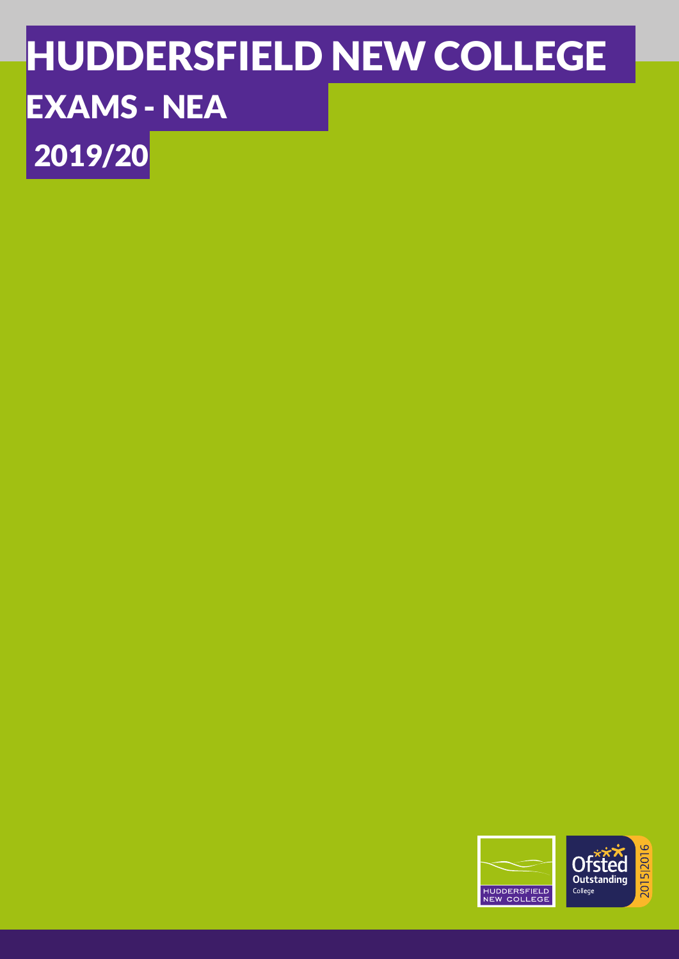# HUDDERSFIELD NEW COLLEGE EXAMS - NEA 2019/20

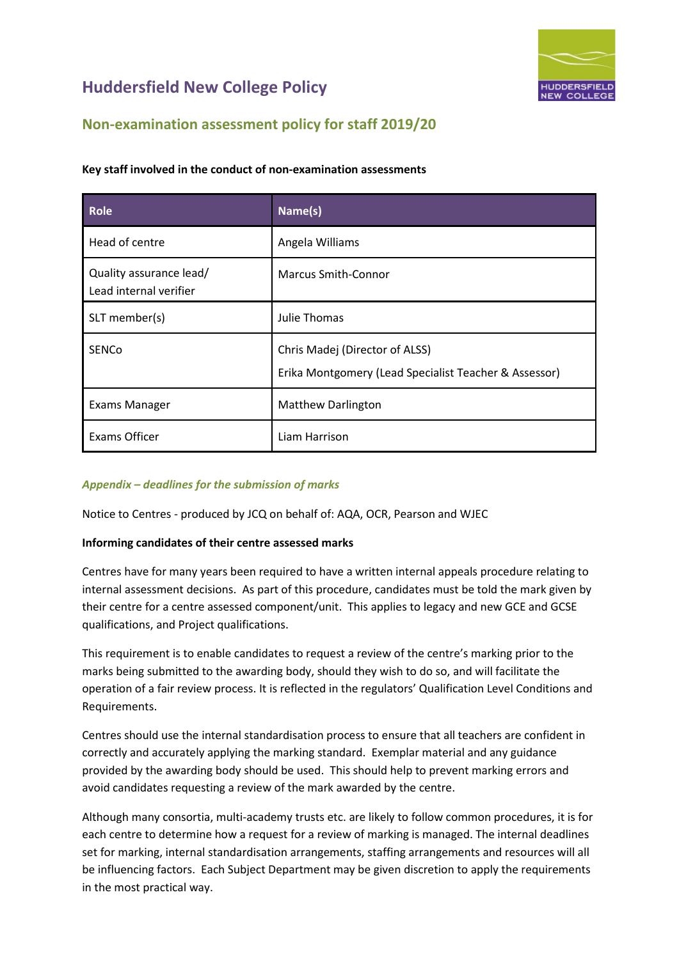

### **Non-examination assessment policy for staff 2019/20**

| <b>Role</b>                                       | Name(s)                                                                                 |
|---------------------------------------------------|-----------------------------------------------------------------------------------------|
| Head of centre                                    | Angela Williams                                                                         |
| Quality assurance lead/<br>Lead internal verifier | <b>Marcus Smith-Connor</b>                                                              |
| SLT member(s)                                     | Julie Thomas                                                                            |
| <b>SENCO</b>                                      | Chris Madej (Director of ALSS)<br>Erika Montgomery (Lead Specialist Teacher & Assessor) |
| <b>Exams Manager</b>                              | <b>Matthew Darlington</b>                                                               |
| <b>Exams Officer</b>                              | Liam Harrison                                                                           |

#### <span id="page-1-0"></span>**Key staff involved in the conduct of non-examination assessments**

#### *Appendix – deadlines for the submission of marks*

Notice to Centres - produced by JCQ on behalf of: AQA, OCR, Pearson and WJEC

#### **Informing candidates of their centre assessed marks**

Centres have for many years been required to have a written internal appeals procedure relating to internal assessment decisions. As part of this procedure, candidates must be told the mark given by their centre for a centre assessed component/unit. This applies to legacy and new GCE and GCSE qualifications, and Project qualifications.

This requirement is to enable candidates to request a review of the centre's marking prior to the marks being submitted to the awarding body, should they wish to do so, and will facilitate the operation of a fair review process. It is reflected in the regulators' Qualification Level Conditions and Requirements.

Centres should use the internal standardisation process to ensure that all teachers are confident in correctly and accurately applying the marking standard. Exemplar material and any guidance provided by the awarding body should be used. This should help to prevent marking errors and avoid candidates requesting a review of the mark awarded by the centre.

Although many consortia, multi-academy trusts etc. are likely to follow common procedures, it is for each centre to determine how a request for a review of marking is managed. The internal deadlines set for marking, internal standardisation arrangements, staffing arrangements and resources will all be influencing factors. Each Subject Department may be given discretion to apply the requirements in the most practical way.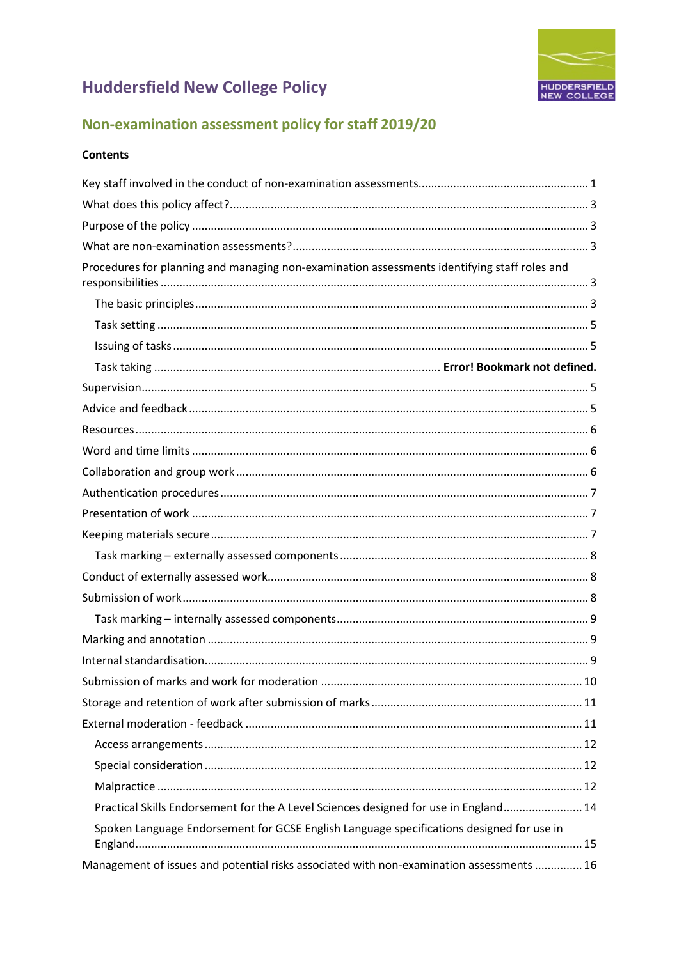

### Non-examination assessment policy for staff 2019/20

#### **Contents**

| Procedures for planning and managing non-examination assessments identifying staff roles and |  |
|----------------------------------------------------------------------------------------------|--|
|                                                                                              |  |
|                                                                                              |  |
|                                                                                              |  |
|                                                                                              |  |
|                                                                                              |  |
|                                                                                              |  |
|                                                                                              |  |
|                                                                                              |  |
|                                                                                              |  |
|                                                                                              |  |
|                                                                                              |  |
|                                                                                              |  |
|                                                                                              |  |
|                                                                                              |  |
|                                                                                              |  |
|                                                                                              |  |
|                                                                                              |  |
|                                                                                              |  |
|                                                                                              |  |
|                                                                                              |  |
|                                                                                              |  |
|                                                                                              |  |
|                                                                                              |  |
|                                                                                              |  |
| Practical Skills Endorsement for the A Level Sciences designed for use in England 14         |  |
| Spoken Language Endorsement for GCSE English Language specifications designed for use in     |  |
| Management of issues and potential risks associated with non-examination assessments  16     |  |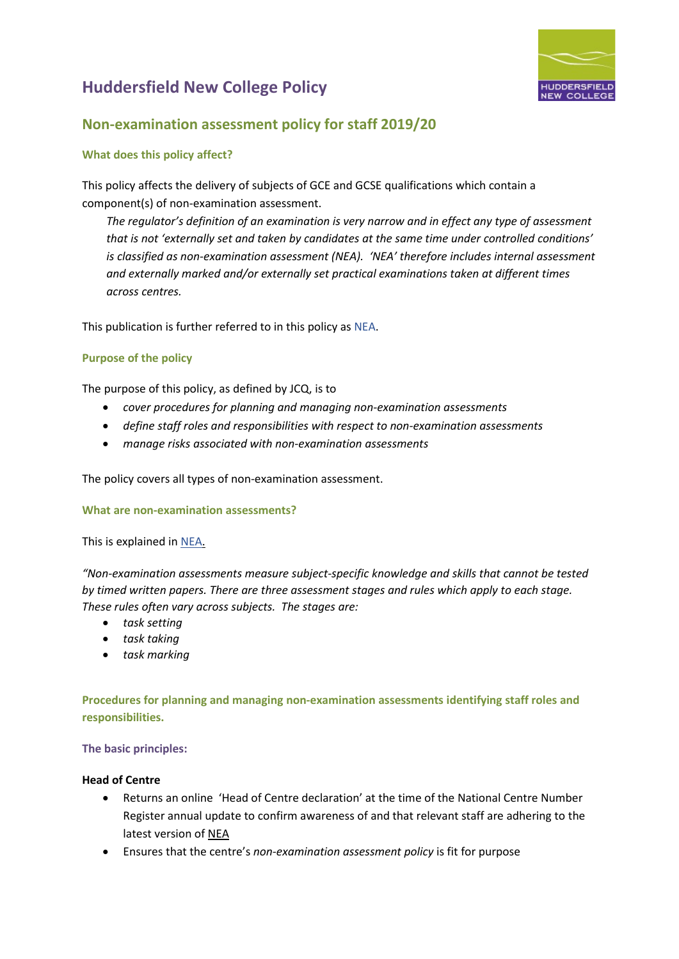

### **Non-examination assessment policy for staff 2019/20**

#### <span id="page-3-0"></span>**What does this policy affect?**

This policy affects the delivery of subjects of GCE and GCSE qualifications which contain a component(s) of non-examination assessment.

*The regulator's definition of an examination is very narrow and in effect any type of assessment that is not 'externally set and taken by candidates at the same time under controlled conditions' is classified as non-examination assessment (NEA). 'NEA' therefore includes internal assessment and externally marked and/or externally set practical examinations taken at different times across centres.*

This publication is further referred to in this policy a[s NEA.](http://www.jcq.org.uk/exams-office/non-examination-assessments)

#### <span id="page-3-1"></span>**Purpose of the policy**

The purpose of this policy, as defined by JCQ, is to

- *cover procedures for planning and managing non-examination assessments*
- *define staff roles and responsibilities with respect to non-examination assessments*
- *manage risks associated with non-examination assessments*

The policy covers all types of non-examination assessment.

#### <span id="page-3-2"></span>**What are non-examination assessments?**

This is explained i[n NEA.](http://www.jcq.org.uk/exams-office/non-examination-assessments)

*"Non-examination assessments measure subject-specific knowledge and skills that cannot be tested by timed written papers. There are three assessment stages and rules which apply to each stage. These rules often vary across subjects. The stages are:* 

- *task setting*
- *task taking*
- *task marking*

<span id="page-3-4"></span><span id="page-3-3"></span>**Procedures for planning and managing non-examination assessments identifying staff roles and responsibilities.** 

#### **The basic principles:**

#### **Head of Centre**

- Returns an online 'Head of Centre declaration' at the time of the National Centre Number Register annual update to confirm awareness of and that relevant staff are adhering to the latest version of [NEA](http://www.jcq.org.uk/exams-office/non-examination-assessments)
- Ensures that the centre's *non-examination assessment policy* is fit for purpose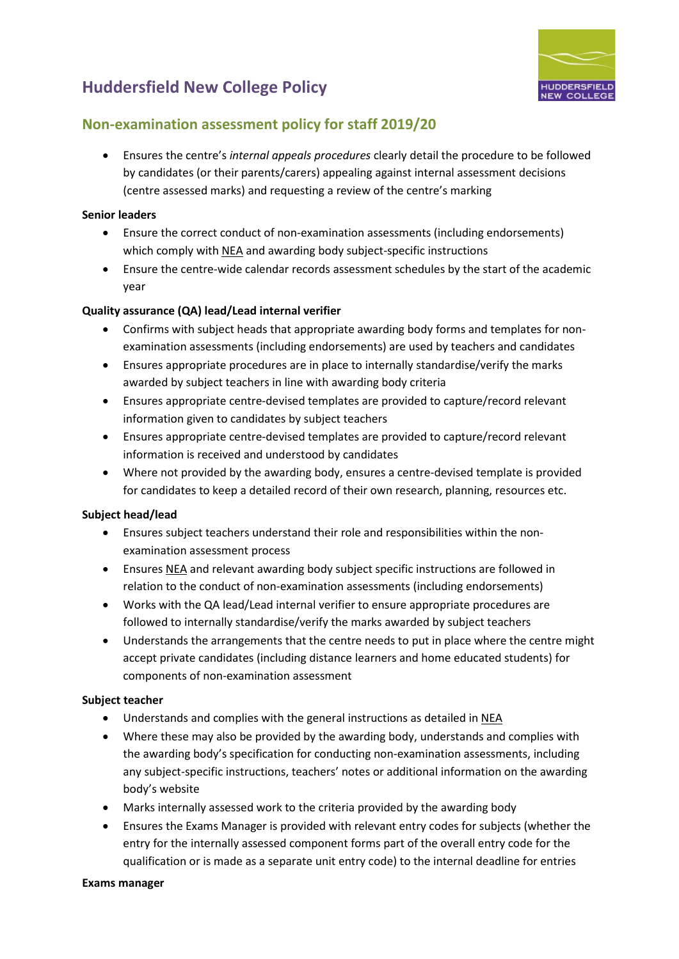

### **Non-examination assessment policy for staff 2019/20**

• Ensures the centre's *internal appeals procedures* clearly detail the procedure to be followed by candidates (or their parents/carers) appealing against internal assessment decisions (centre assessed marks) and requesting a review of the centre's marking

#### **Senior leaders**

- Ensure the correct conduct of non-examination assessments (including endorsements) which comply wit[h NEA](http://www.jcq.org.uk/exams-office/non-examination-assessments) and awarding body subject-specific instructions
- Ensure the centre-wide calendar records assessment schedules by the start of the academic year

#### **Quality assurance (QA) lead/Lead internal verifier**

- Confirms with subject heads that appropriate awarding body forms and templates for nonexamination assessments (including endorsements) are used by teachers and candidates
- Ensures appropriate procedures are in place to internally standardise/verify the marks awarded by subject teachers in line with awarding body criteria
- Ensures appropriate centre-devised templates are provided to capture/record relevant information given to candidates by subject teachers
- Ensures appropriate centre-devised templates are provided to capture/record relevant information is received and understood by candidates
- Where not provided by the awarding body, ensures a centre-devised template is provided for candidates to keep a detailed record of their own research, planning, resources etc.

#### **Subject head/lead**

- Ensures subject teachers understand their role and responsibilities within the nonexamination assessment process
- Ensures [NEA](http://www.jcq.org.uk/exams-office/non-examination-assessments) and relevant awarding body subject specific instructions are followed in relation to the conduct of non-examination assessments (including endorsements)
- Works with the QA lead/Lead internal verifier to ensure appropriate procedures are followed to internally standardise/verify the marks awarded by subject teachers
- Understands the arrangements that the centre needs to put in place where the centre might accept private candidates (including distance learners and home educated students) for components of non-examination assessment

#### **Subject teacher**

- Understands and complies with the general instructions as detailed in [NEA](http://www.jcq.org.uk/exams-office/non-examination-assessments)
- Where these may also be provided by the awarding body, understands and complies with the awarding body's specification for conducting non-examination assessments, including any subject-specific instructions, teachers' notes or additional information on the awarding body's website
- Marks internally assessed work to the criteria provided by the awarding body
- Ensures the Exams Manager is provided with relevant entry codes for subjects (whether the entry for the internally assessed component forms part of the overall entry code for the qualification or is made as a separate unit entry code) to the internal deadline for entries

#### **Exams manager**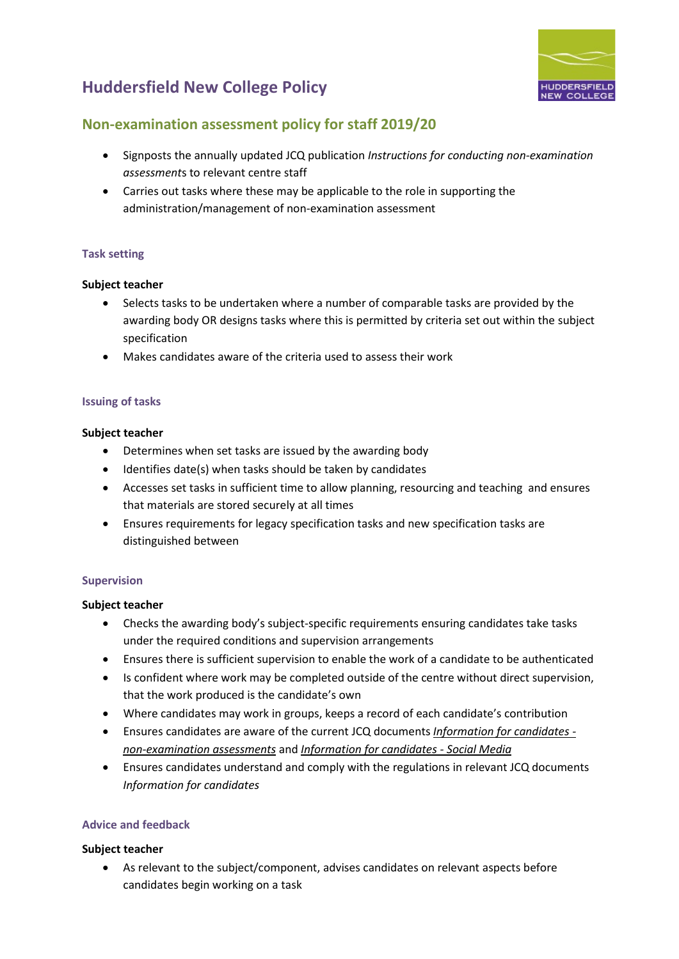### **Non-examination assessment policy for staff 2019/20**

- Signposts the annually updated JCQ publication *Instructions for conducting non-examination assessment*s to relevant centre staff
- Carries out tasks where these may be applicable to the role in supporting the administration/management of non-examination assessment

#### <span id="page-5-0"></span>**Task setting**

#### **Subject teacher**

- Selects tasks to be undertaken where a number of comparable tasks are provided by the awarding body OR designs tasks where this is permitted by criteria set out within the subject specification
- Makes candidates aware of the criteria used to assess their work

#### <span id="page-5-1"></span>**Issuing of tasks**

#### **Subject teacher**

- Determines when set tasks are issued by the awarding body
- Identifies date(s) when tasks should be taken by candidates
- Accesses set tasks in sufficient time to allow planning, resourcing and teaching and ensures that materials are stored securely at all times
- Ensures requirements for legacy specification tasks and new specification tasks are distinguished between

#### <span id="page-5-2"></span>**Supervision**

#### **Subject teacher**

- Checks the awarding body's subject-specific requirements ensuring candidates take tasks under the required conditions and supervision arrangements
- Ensures there is sufficient supervision to enable the work of a candidate to be authenticated
- Is confident where work may be completed outside of the centre without direct supervision, that the work produced is the candidate's own
- Where candidates may work in groups, keeps a record of each candidate's contribution
- Ensures candidates are aware of the current JCQ documents *[Information for candidates](http://www.jcq.org.uk/exams-office/information-for-candidates-documents)  [non-examination assessments](http://www.jcq.org.uk/exams-office/information-for-candidates-documents)* and *[Information for candidates -](http://www.jcq.org.uk/exams-office/information-for-candidates-documents) Social Media*
- Ensures candidates understand and comply with the regulations in relevant JCQ documents *Information for candidates*

#### <span id="page-5-3"></span>**Advice and feedback**

#### **Subject teacher**

• As relevant to the subject/component, advises candidates on relevant aspects before candidates begin working on a task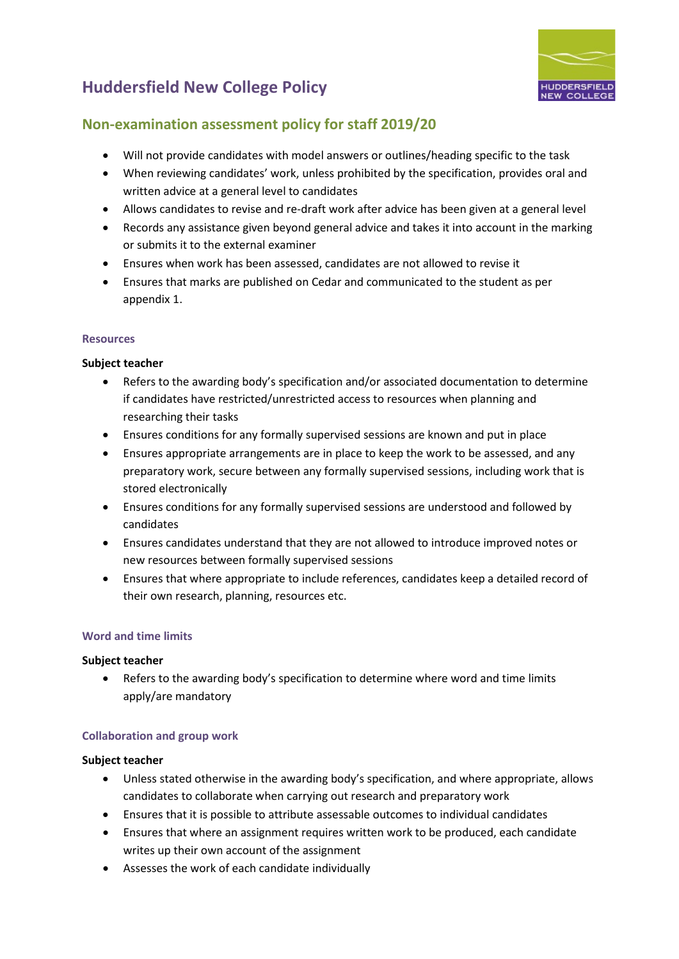

### **Non-examination assessment policy for staff 2019/20**

- Will not provide candidates with model answers or outlines/heading specific to the task
- When reviewing candidates' work, unless prohibited by the specification, provides oral and written advice at a general level to candidates
- Allows candidates to revise and re-draft work after advice has been given at a general level
- Records any assistance given beyond general advice and takes it into account in the marking or submits it to the external examiner
- Ensures when work has been assessed, candidates are not allowed to revise it
- Ensures that marks are published on Cedar and communicated to the student as per appendix 1.

#### <span id="page-6-0"></span>**Resources**

#### **Subject teacher**

- Refers to the awarding body's specification and/or associated documentation to determine if candidates have restricted/unrestricted access to resources when planning and researching their tasks
- Ensures conditions for any formally supervised sessions are known and put in place
- Ensures appropriate arrangements are in place to keep the work to be assessed, and any preparatory work, secure between any formally supervised sessions, including work that is stored electronically
- Ensures conditions for any formally supervised sessions are understood and followed by candidates
- Ensures candidates understand that they are not allowed to introduce improved notes or new resources between formally supervised sessions
- Ensures that where appropriate to include references, candidates keep a detailed record of their own research, planning, resources etc.

#### <span id="page-6-1"></span>**Word and time limits**

#### **Subject teacher**

• Refers to the awarding body's specification to determine where word and time limits apply/are mandatory

#### <span id="page-6-2"></span>**Collaboration and group work**

- Unless stated otherwise in the awarding body's specification, and where appropriate, allows candidates to collaborate when carrying out research and preparatory work
- Ensures that it is possible to attribute assessable outcomes to individual candidates
- Ensures that where an assignment requires written work to be produced, each candidate writes up their own account of the assignment
- Assesses the work of each candidate individually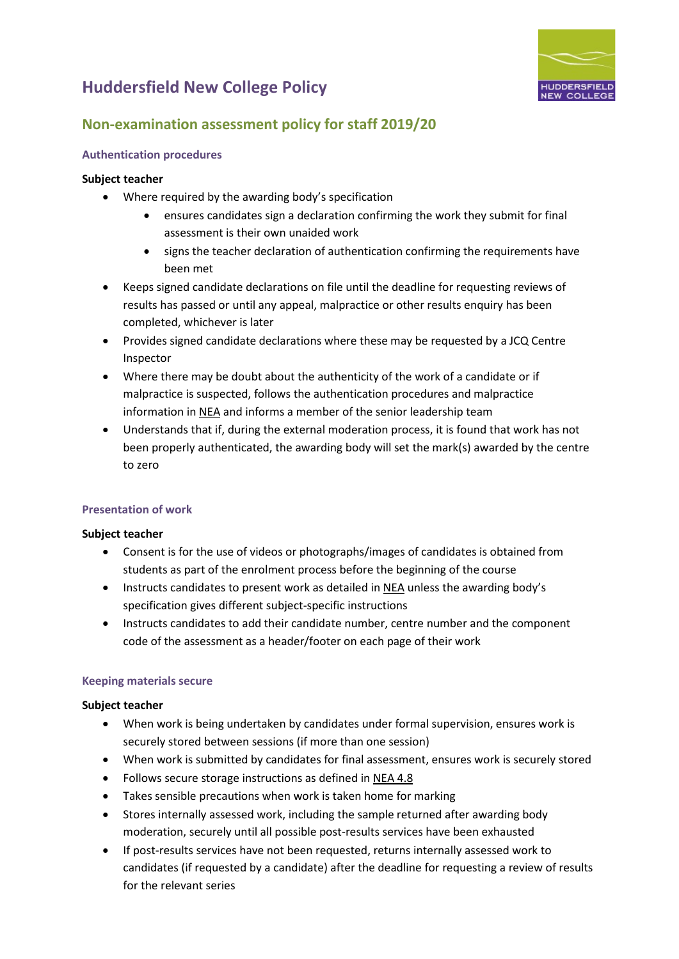

### **Non-examination assessment policy for staff 2019/20**

#### <span id="page-7-0"></span>**Authentication procedures**

#### **Subject teacher**

- Where required by the awarding body's specification
	- ensures candidates sign a declaration confirming the work they submit for final assessment is their own unaided work
	- signs the teacher declaration of authentication confirming the requirements have been met
- Keeps signed candidate declarations on file until the deadline for requesting reviews of results has passed or until any appeal, malpractice or other results enquiry has been completed, whichever is later
- Provides signed candidate declarations where these may be requested by a JCQ Centre Inspector
- Where there may be doubt about the authenticity of the work of a candidate or if malpractice is suspected, follows the authentication procedures and malpractice information i[n NEA](http://www.jcq.org.uk/exams-office/non-examination-assessments) and informs a member of the senior leadership team
- Understands that if, during the external moderation process, it is found that work has not been properly authenticated, the awarding body will set the mark(s) awarded by the centre to zero

#### <span id="page-7-1"></span>**Presentation of work**

#### **Subject teacher**

- Consent is for the use of videos or photographs/images of candidates is obtained from students as part of the enrolment process before the beginning of the course
- Instructs candidates to present work as detailed in [NEA](http://www.jcq.org.uk/exams-office/non-examination-assessments) unless the awarding body's specification gives different subject-specific instructions
- Instructs candidates to add their candidate number, centre number and the component code of the assessment as a header/footer on each page of their work

#### <span id="page-7-2"></span>**Keeping materials secure**

- When work is being undertaken by candidates under formal supervision, ensures work is securely stored between sessions (if more than one session)
- When work is submitted by candidates for final assessment, ensures work is securely stored
- Follows secure storage instructions as defined in [NEA](http://www.jcq.org.uk/exams-office/non-examination-assessments) 4.8
- Takes sensible precautions when work is taken home for marking
- Stores internally assessed work, including the sample returned after awarding body moderation, securely until all possible post-results services have been exhausted
- If post-results services have not been requested, returns internally assessed work to candidates (if requested by a candidate) after the deadline for requesting a review of results for the relevant series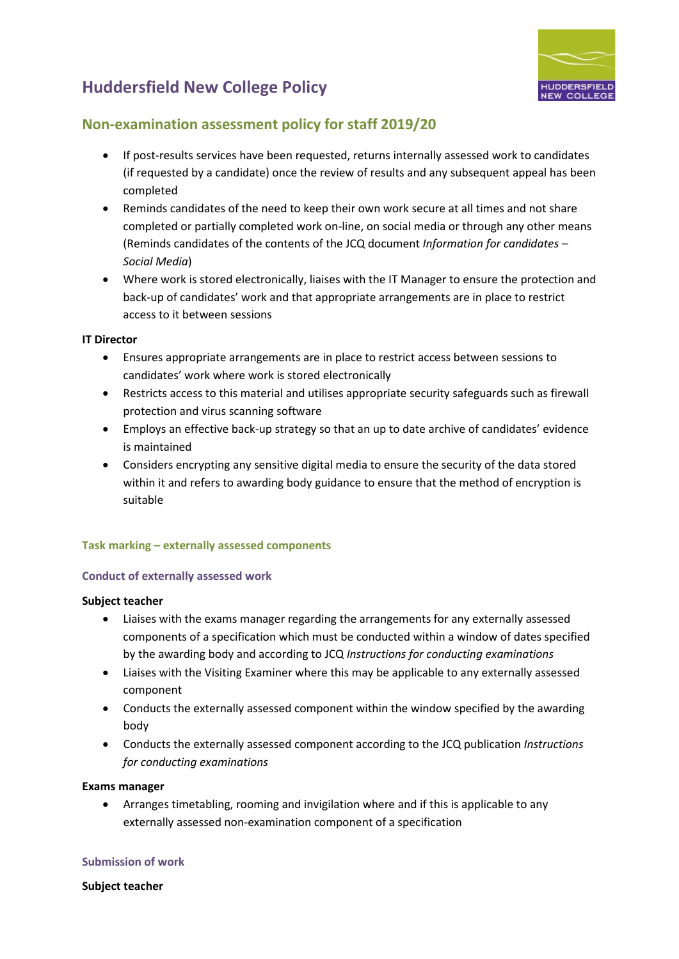

### **Non-examination assessment policy for staff 2019/20**

- If post-results services have been requested, returns internally assessed work to candidates (if requested by a candidate) once the review of results and any subsequent appeal has been completed
- Reminds candidates of the need to keep their own work secure at all times and not share completed or partially completed work on-line, on social media or through any other means (Reminds candidates of the contents of the JCQ document *Information for candidates – Social Media*)
- Where work is stored electronically, liaises with the IT Manager to ensure the protection and back-up of candidates' work and that appropriate arrangements are in place to restrict access to it between sessions

#### **IT Director**

- Ensures appropriate arrangements are in place to restrict access between sessions to candidates' work where work is stored electronically
- Restricts access to this material and utilises appropriate security safeguards such as firewall protection and virus scanning software
- Employs an effective back-up strategy so that an up to date archive of candidates' evidence is maintained
- Considers encrypting any sensitive digital media to ensure the security of the data stored within it and refers to awarding body guidance to ensure that the method of encryption is suitable

#### <span id="page-8-0"></span>**Task marking – externally assessed components**

#### <span id="page-8-1"></span>**Conduct of externally assessed work**

#### **Subject teacher**

- Liaises with the exams manager regarding the arrangements for any externally assessed components of a specification which must be conducted within a window of dates specified by the awarding body and according to JCQ *Instructions for conducting examinations*
- Liaises with the Visiting Examiner where this may be applicable to any externally assessed component
- Conducts the externally assessed component within the window specified by the awarding body
- Conducts the externally assessed component according to the JCQ publication *Instructions for conducting examinations*

#### **Exams manager**

• Arranges timetabling, rooming and invigilation where and if this is applicable to any externally assessed non-examination component of a specification

#### <span id="page-8-2"></span>**Submission of work**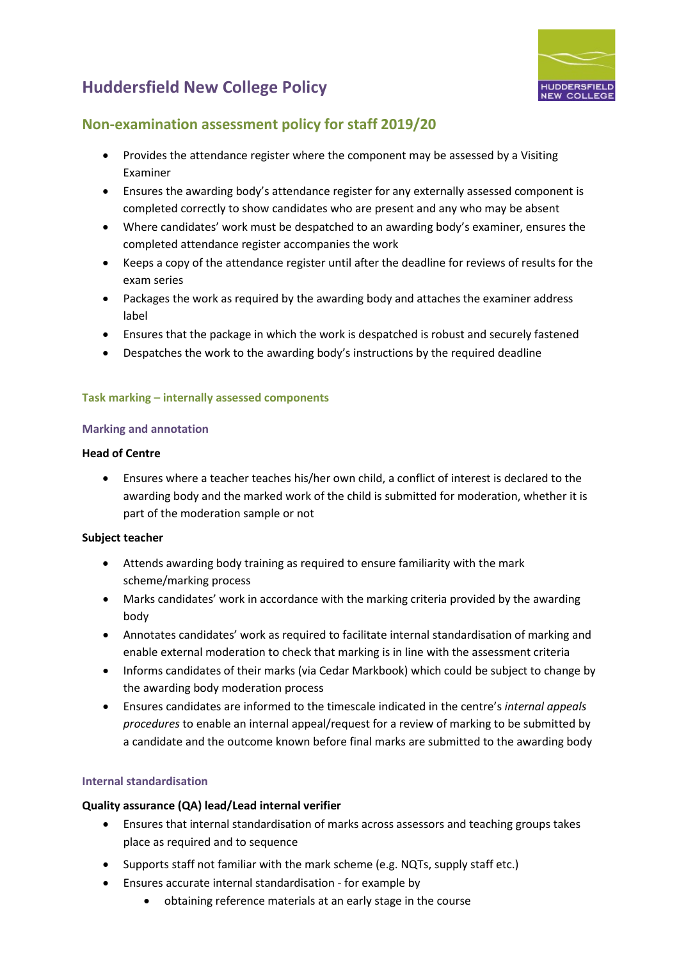

### **Non-examination assessment policy for staff 2019/20**

- Provides the attendance register where the component may be assessed by a Visiting Examiner
- Ensures the awarding body's attendance register for any externally assessed component is completed correctly to show candidates who are present and any who may be absent
- Where candidates' work must be despatched to an awarding body's examiner, ensures the completed attendance register accompanies the work
- Keeps a copy of the attendance register until after the deadline for reviews of results for the exam series
- Packages the work as required by the awarding body and attaches the examiner address label
- Ensures that the package in which the work is despatched is robust and securely fastened
- Despatches the work to the awarding body's instructions by the required deadline

#### <span id="page-9-0"></span>**Task marking – internally assessed components**

#### <span id="page-9-1"></span>**Marking and annotation**

#### **Head of Centre**

• Ensures where a teacher teaches his/her own child, a conflict of interest is declared to the awarding body and the marked work of the child is submitted for moderation, whether it is part of the moderation sample or not

#### **Subject teacher**

- Attends awarding body training as required to ensure familiarity with the mark scheme/marking process
- Marks candidates' work in accordance with the marking criteria provided by the awarding body
- Annotates candidates' work as required to facilitate internal standardisation of marking and enable external moderation to check that marking is in line with the assessment criteria
- Informs candidates of their marks (via Cedar Markbook) which could be subject to change by the awarding body moderation process
- Ensures candidates are informed to the timescale indicated in the centre's *internal appeals procedures* to enable an internal appeal/request for a review of marking to be submitted by a candidate and the outcome known before final marks are submitted to the awarding body

#### <span id="page-9-2"></span>**Internal standardisation**

#### **Quality assurance (QA) lead/Lead internal verifier**

- Ensures that internal standardisation of marks across assessors and teaching groups takes place as required and to sequence
- Supports staff not familiar with the mark scheme (e.g. NQTs, supply staff etc.)
- Ensures accurate internal standardisation for example by
	- obtaining reference materials at an early stage in the course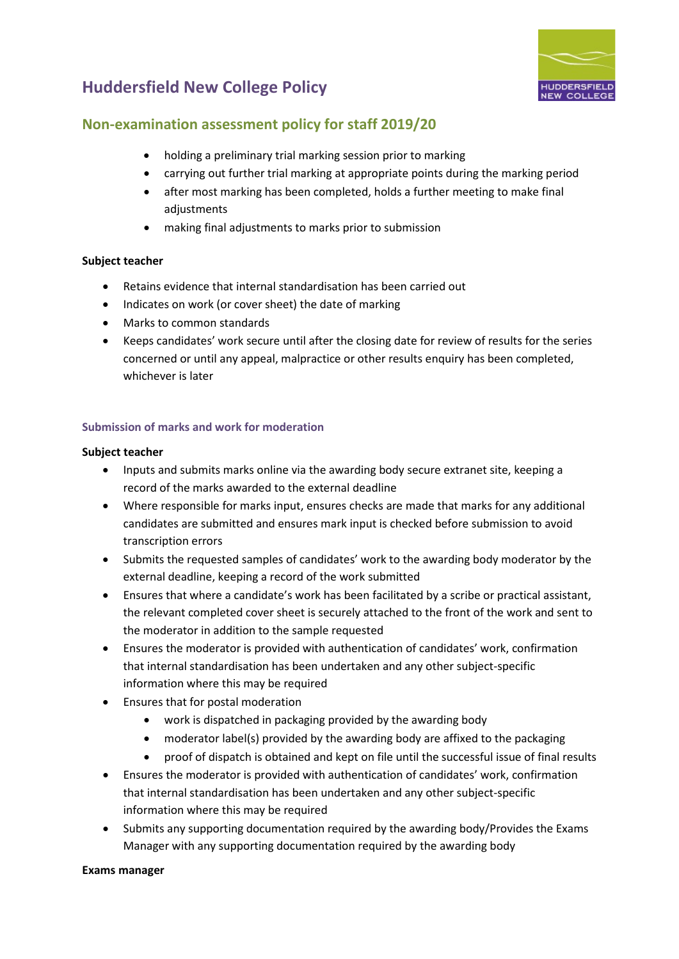

#### **Non-examination assessment policy for staff 2019/20**

- holding a preliminary trial marking session prior to marking
- carrying out further trial marking at appropriate points during the marking period
- after most marking has been completed, holds a further meeting to make final adjustments
- making final adjustments to marks prior to submission

#### **Subject teacher**

- Retains evidence that internal standardisation has been carried out
- Indicates on work (or cover sheet) the date of marking
- Marks to common standards
- Keeps candidates' work secure until after the closing date for review of results for the series concerned or until any appeal, malpractice or other results enquiry has been completed, whichever is later

#### <span id="page-10-0"></span>**Submission of marks and work for moderation**

#### **Subject teacher**

- Inputs and submits marks online via the awarding body secure extranet site, keeping a record of the marks awarded to the external deadline
- Where responsible for marks input, ensures checks are made that marks for any additional candidates are submitted and ensures mark input is checked before submission to avoid transcription errors
- Submits the requested samples of candidates' work to the awarding body moderator by the external deadline, keeping a record of the work submitted
- Ensures that where a candidate's work has been facilitated by a scribe or practical assistant, the relevant completed cover sheet is securely attached to the front of the work and sent to the moderator in addition to the sample requested
- Ensures the moderator is provided with authentication of candidates' work, confirmation that internal standardisation has been undertaken and any other subject-specific information where this may be required
- Ensures that for postal moderation
	- work is dispatched in packaging provided by the awarding body
	- moderator label(s) provided by the awarding body are affixed to the packaging
	- proof of dispatch is obtained and kept on file until the successful issue of final results
- Ensures the moderator is provided with authentication of candidates' work, confirmation that internal standardisation has been undertaken and any other subject-specific information where this may be required
- Submits any supporting documentation required by the awarding body/Provides the Exams Manager with any supporting documentation required by the awarding body

#### **Exams manager**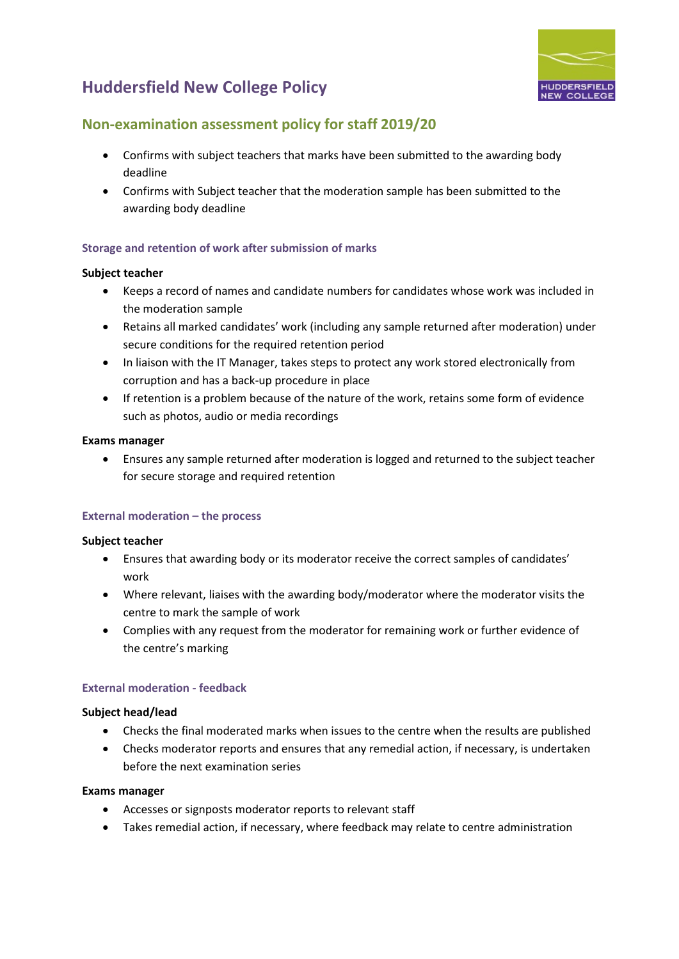

### **Non-examination assessment policy for staff 2019/20**

- Confirms with subject teachers that marks have been submitted to the awarding body deadline
- Confirms with Subject teacher that the moderation sample has been submitted to the awarding body deadline

#### <span id="page-11-0"></span>**Storage and retention of work after submission of marks**

#### **Subject teacher**

- Keeps a record of names and candidate numbers for candidates whose work was included in the moderation sample
- Retains all marked candidates' work (including any sample returned after moderation) under secure conditions for the required retention period
- In liaison with the IT Manager, takes steps to protect any work stored electronically from corruption and has a back-up procedure in place
- If retention is a problem because of the nature of the work, retains some form of evidence such as photos, audio or media recordings

#### **Exams manager**

• Ensures any sample returned after moderation is logged and returned to the subject teacher for secure storage and required retention

#### **External moderation – the process**

#### **Subject teacher**

- Ensures that awarding body or its moderator receive the correct samples of candidates' work
- Where relevant, liaises with the awarding body/moderator where the moderator visits the centre to mark the sample of work
- Complies with any request from the moderator for remaining work or further evidence of the centre's marking

#### <span id="page-11-1"></span>**External moderation - feedback**

#### **Subject head/lead**

- Checks the final moderated marks when issues to the centre when the results are published
- Checks moderator reports and ensures that any remedial action, if necessary, is undertaken before the next examination series

#### **Exams manager**

- Accesses or signposts moderator reports to relevant staff
- Takes remedial action, if necessary, where feedback may relate to centre administration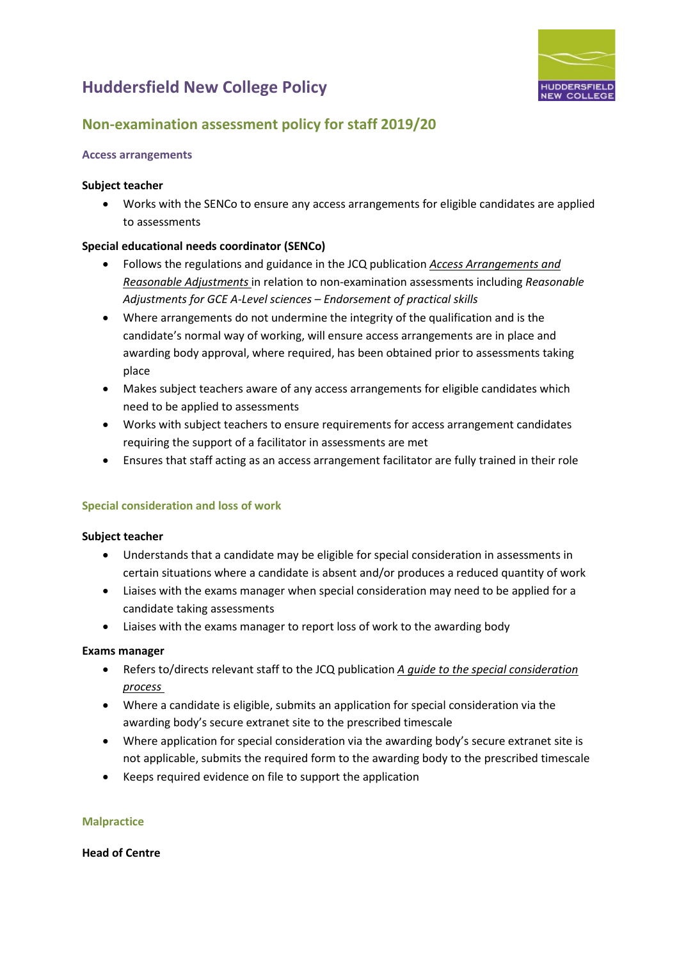

### **Non-examination assessment policy for staff 2019/20**

#### <span id="page-12-0"></span>**Access arrangements**

#### **Subject teacher**

• Works with the SENCo to ensure any access arrangements for eligible candidates are applied to assessments

#### **Special educational needs coordinator (SENCo)**

- Follows the regulations and guidance in the JCQ publication *[Access Arrangements and](http://www.jcq.org.uk/exams-office/access-arrangements-and-special-consideration)  [Reasonable Adjustments](http://www.jcq.org.uk/exams-office/access-arrangements-and-special-consideration)* in relation to non-examination assessments including *Reasonable Adjustments for GCE A-Level sciences – Endorsement of practical skills*
- Where arrangements do not undermine the integrity of the qualification and is the candidate's normal way of working, will ensure access arrangements are in place and awarding body approval, where required, has been obtained prior to assessments taking place
- Makes subject teachers aware of any access arrangements for eligible candidates which need to be applied to assessments
- Works with subject teachers to ensure requirements for access arrangement candidates requiring the support of a facilitator in assessments are met
- <span id="page-12-1"></span>• Ensures that staff acting as an access arrangement facilitator are fully trained in their role

#### **Special consideration and loss of work**

#### **Subject teacher**

- Understands that a candidate may be eligible for special consideration in assessments in certain situations where a candidate is absent and/or produces a reduced quantity of work
- Liaises with the exams manager when special consideration may need to be applied for a candidate taking assessments
- Liaises with the exams manager to report loss of work to the awarding body

#### **Exams manager**

- Refers to/directs relevant staff to the JCQ publication *[A guide to the special consideration](http://www.jcq.org.uk/exams-office/access-arrangements-and-special-consideration)  [process](http://www.jcq.org.uk/exams-office/access-arrangements-and-special-consideration)*
- Where a candidate is eligible, submits an application for special consideration via the awarding body's secure extranet site to the prescribed timescale
- Where application for special consideration via the awarding body's secure extranet site is not applicable, submits the required form to the awarding body to the prescribed timescale
- Keeps required evidence on file to support the application

#### <span id="page-12-2"></span>**Malpractice**

#### **Head of Centre**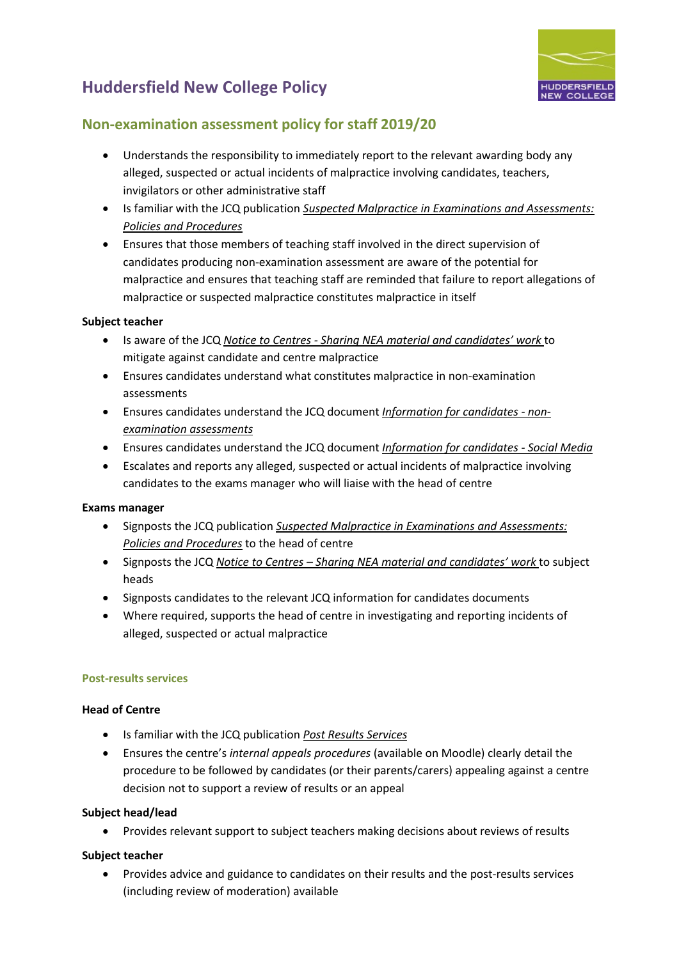

### **Non-examination assessment policy for staff 2019/20**

- Understands the responsibility to immediately report to the relevant awarding body any alleged, suspected or actual incidents of malpractice involving candidates, teachers, invigilators or other administrative staff
- Is familiar with the JCQ publication *[Suspected Malpractice in Examinations and Assessments:](http://www.jcq.org.uk/exams-office/malpractice)  [Policies and Procedures](http://www.jcq.org.uk/exams-office/malpractice)*
- Ensures that those members of teaching staff involved in the direct supervision of candidates producing non-examination assessment are aware of the potential for malpractice and ensures that teaching staff are reminded that failure to report allegations of malpractice or suspected malpractice constitutes malpractice in itself

#### **Subject teacher**

- Is aware of the JCQ *Notice to Centres - [Sharing NEA material and candidates' work](http://www.jcq.org.uk/exams-office/non-examination-assessments)* to mitigate against candidate and centre malpractice
- Ensures candidates understand what constitutes malpractice in non-examination assessments
- Ensures candidates understand the JCQ document *[Information for candidates -](http://www.jcq.org.uk/exams-office/information-for-candidates-documents) non[examination assessments](http://www.jcq.org.uk/exams-office/information-for-candidates-documents)*
- Ensures candidates understand the JCQ document *[Information for candidates -](http://www.jcq.org.uk/exams-office/information-for-candidates-documents) Social Media*
- Escalates and reports any alleged, suspected or actual incidents of malpractice involving candidates to the exams manager who will liaise with the head of centre

#### **Exams manager**

- Signposts the JCQ publication *[Suspected Malpractice in Examinations and Assessments:](http://www.jcq.org.uk/exams-office/malpractice)  [Policies and Procedures](http://www.jcq.org.uk/exams-office/malpractice)* to the head of centre
- Signposts the JCQ *Notice to Centres – [Sharing NEA material and candidates' work](http://www.jcq.org.uk/exams-office/non-examination-assessments)* to subject heads
- Signposts candidates to the relevant JCQ information for candidates documents
- Where required, supports the head of centre in investigating and reporting incidents of alleged, suspected or actual malpractice

#### **Post-results services**

#### **Head of Centre**

- Is familiar with the JCQ publication *[Post Results Services](https://www.jcq.org.uk/exams-office/post-results-services)*
- Ensures the centre's *internal appeals procedures* (available on Moodle) clearly detail the procedure to be followed by candidates (or their parents/carers) appealing against a centre decision not to support a review of results or an appeal

#### **Subject head/lead**

• Provides relevant support to subject teachers making decisions about reviews of results

#### **Subject teacher**

• Provides advice and guidance to candidates on their results and the post-results services (including review of moderation) available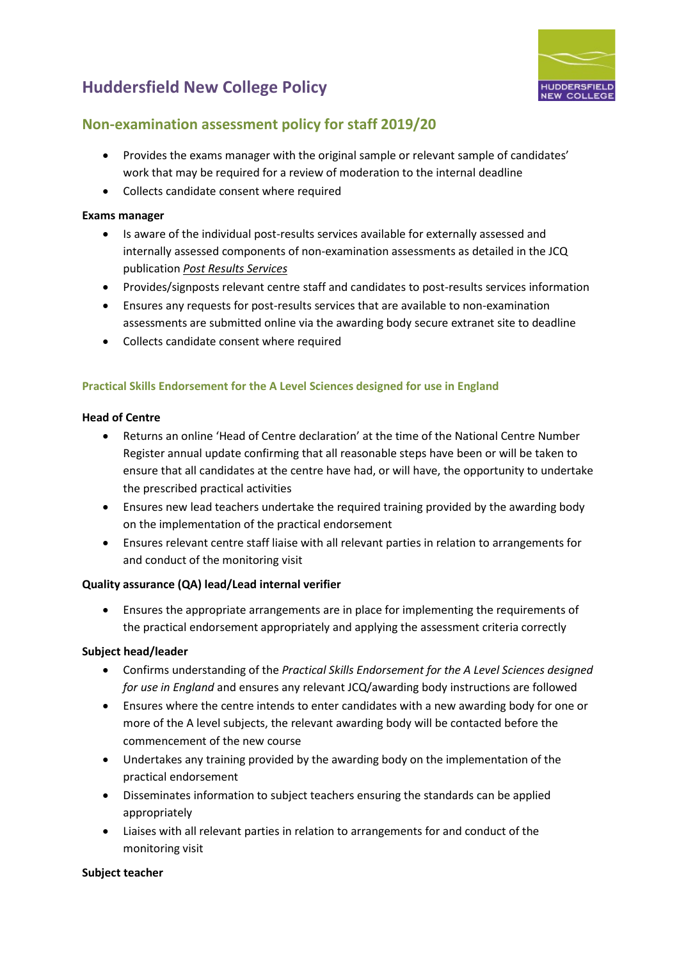

### **Non-examination assessment policy for staff 2019/20**

- Provides the exams manager with the original sample or relevant sample of candidates' work that may be required for a review of moderation to the internal deadline
- Collects candidate consent where required

#### **Exams manager**

- Is aware of the individual post-results services available for externally assessed and internally assessed components of non-examination assessments as detailed in the JCQ publication *[Post Results Services](http://www.jcq.org.uk/exams-office/post-results-services)*
- Provides/signposts relevant centre staff and candidates to post-results services information
- Ensures any requests for post-results services that are available to non-examination assessments are submitted online via the awarding body secure extranet site to deadline
- Collects candidate consent where required

#### <span id="page-14-0"></span>**Practical Skills Endorsement for the A Level Sciences designed for use in England**

#### **Head of Centre**

- Returns an online 'Head of Centre declaration' at the time of the National Centre Number Register annual update confirming that all reasonable steps have been or will be taken to ensure that all candidates at the centre have had, or will have, the opportunity to undertake the prescribed practical activities
- Ensures new lead teachers undertake the required training provided by the awarding body on the implementation of the practical endorsement
- Ensures relevant centre staff liaise with all relevant parties in relation to arrangements for and conduct of the monitoring visit

#### **Quality assurance (QA) lead/Lead internal verifier**

• Ensures the appropriate arrangements are in place for implementing the requirements of the practical endorsement appropriately and applying the assessment criteria correctly

#### **Subject head/leader**

- Confirms understanding of the *Practical Skills Endorsement for the A Level Sciences designed for use in England* and ensures any relevant JCQ/awarding body instructions are followed
- Ensures where the centre intends to enter candidates with a new awarding body for one or more of the A level subjects, the relevant awarding body will be contacted before the commencement of the new course
- Undertakes any training provided by the awarding body on the implementation of the practical endorsement
- Disseminates information to subject teachers ensuring the standards can be applied appropriately
- Liaises with all relevant parties in relation to arrangements for and conduct of the monitoring visit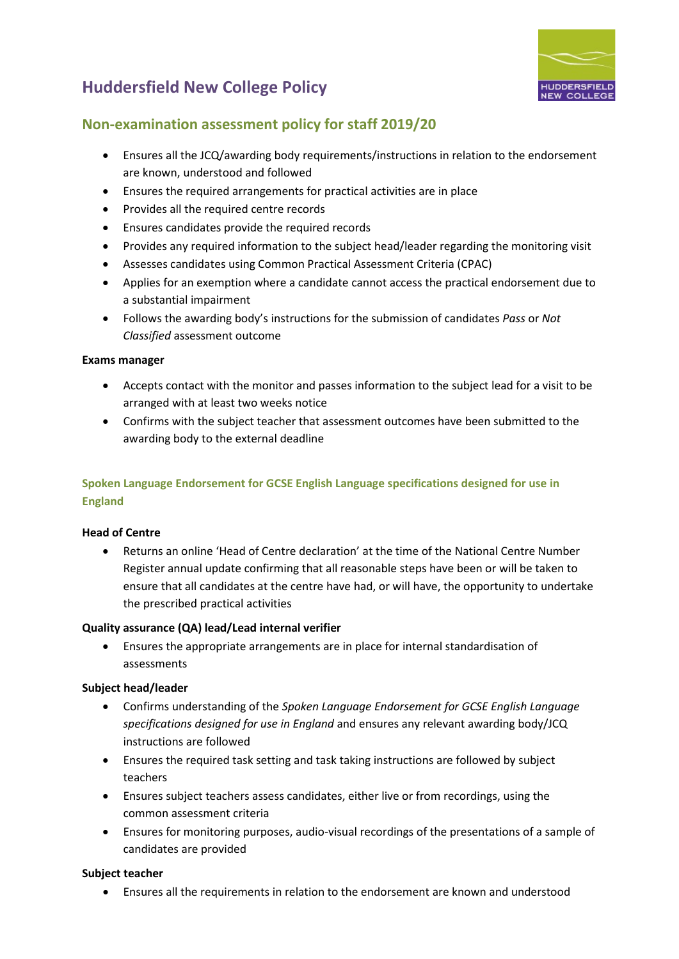

### **Non-examination assessment policy for staff 2019/20**

- Ensures all the JCQ/awarding body requirements/instructions in relation to the endorsement are known, understood and followed
- Ensures the required arrangements for practical activities are in place
- Provides all the required centre records
- Ensures candidates provide the required records
- Provides any required information to the subject head/leader regarding the monitoring visit
- Assesses candidates using Common Practical Assessment Criteria (CPAC)
- Applies for an exemption where a candidate cannot access the practical endorsement due to a substantial impairment
- Follows the awarding body's instructions for the submission of candidates *Pass* or *Not Classified* assessment outcome

#### **Exams manager**

- Accepts contact with the monitor and passes information to the subject lead for a visit to be arranged with at least two weeks notice
- Confirms with the subject teacher that assessment outcomes have been submitted to the awarding body to the external deadline

#### <span id="page-15-0"></span>**Spoken Language Endorsement for GCSE English Language specifications designed for use in England**

#### **Head of Centre**

• Returns an online 'Head of Centre declaration' at the time of the National Centre Number Register annual update confirming that all reasonable steps have been or will be taken to ensure that all candidates at the centre have had, or will have, the opportunity to undertake the prescribed practical activities

#### **Quality assurance (QA) lead/Lead internal verifier**

• Ensures the appropriate arrangements are in place for internal standardisation of assessments

#### **Subject head/leader**

- Confirms understanding of the *Spoken Language Endorsement for GCSE English Language specifications designed for use in England* and ensures any relevant awarding body/JCQ instructions are followed
- Ensures the required task setting and task taking instructions are followed by subject teachers
- Ensures subject teachers assess candidates, either live or from recordings, using the common assessment criteria
- Ensures for monitoring purposes, audio-visual recordings of the presentations of a sample of candidates are provided

#### **Subject teacher**

• Ensures all the requirements in relation to the endorsement are known and understood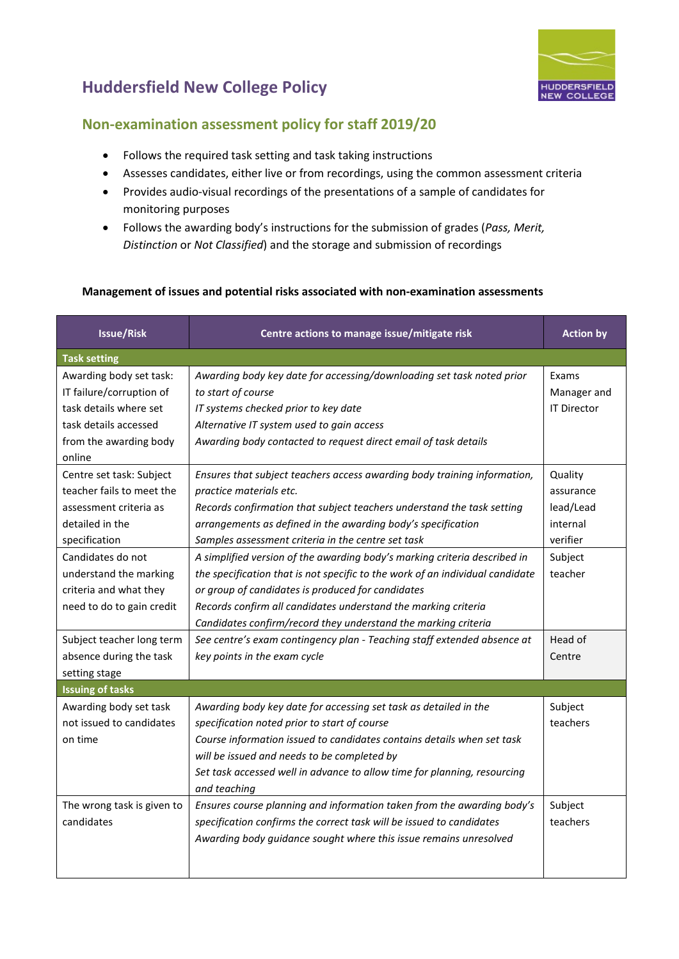

### **Non-examination assessment policy for staff 2019/20**

- Follows the required task setting and task taking instructions
- Assesses candidates, either live or from recordings, using the common assessment criteria
- Provides audio-visual recordings of the presentations of a sample of candidates for monitoring purposes
- Follows the awarding body's instructions for the submission of grades (*Pass, Merit, Distinction* or *Not Classified*) and the storage and submission of recordings

#### <span id="page-16-0"></span>**Management of issues and potential risks associated with non-examination assessments**

| <b>Issue/Risk</b>                                                                                                                                                  | Centre actions to manage issue/mitigate risk                                                                                                                                                                                                                                                                                                                                                                                                                      | <b>Action by</b>                                                                |  |  |
|--------------------------------------------------------------------------------------------------------------------------------------------------------------------|-------------------------------------------------------------------------------------------------------------------------------------------------------------------------------------------------------------------------------------------------------------------------------------------------------------------------------------------------------------------------------------------------------------------------------------------------------------------|---------------------------------------------------------------------------------|--|--|
| <b>Task setting</b>                                                                                                                                                |                                                                                                                                                                                                                                                                                                                                                                                                                                                                   |                                                                                 |  |  |
| Awarding body set task:<br>IT failure/corruption of<br>task details where set<br>task details accessed<br>from the awarding body<br>online                         | Awarding body key date for accessing/downloading set task noted prior<br>to start of course<br>IT systems checked prior to key date<br>Alternative IT system used to gain access<br>Awarding body contacted to request direct email of task details                                                                                                                                                                                                               | Exams<br>Manager and<br><b>IT Director</b>                                      |  |  |
| Centre set task: Subject<br>teacher fails to meet the<br>assessment criteria as<br>detailed in the<br>specification<br>Candidates do not<br>understand the marking | Ensures that subject teachers access awarding body training information,<br>practice materials etc.<br>Records confirmation that subject teachers understand the task setting<br>arrangements as defined in the awarding body's specification<br>Samples assessment criteria in the centre set task<br>A simplified version of the awarding body's marking criteria described in<br>the specification that is not specific to the work of an individual candidate | Quality<br>assurance<br>lead/Lead<br>internal<br>verifier<br>Subject<br>teacher |  |  |
| criteria and what they<br>need to do to gain credit                                                                                                                | or group of candidates is produced for candidates<br>Records confirm all candidates understand the marking criteria<br>Candidates confirm/record they understand the marking criteria                                                                                                                                                                                                                                                                             |                                                                                 |  |  |
| Subject teacher long term<br>absence during the task<br>setting stage                                                                                              | See centre's exam contingency plan - Teaching staff extended absence at<br>key points in the exam cycle                                                                                                                                                                                                                                                                                                                                                           | Head of<br>Centre                                                               |  |  |
| <b>Issuing of tasks</b>                                                                                                                                            |                                                                                                                                                                                                                                                                                                                                                                                                                                                                   |                                                                                 |  |  |
| Awarding body set task<br>not issued to candidates<br>on time                                                                                                      | Awarding body key date for accessing set task as detailed in the<br>specification noted prior to start of course<br>Course information issued to candidates contains details when set task<br>will be issued and needs to be completed by<br>Set task accessed well in advance to allow time for planning, resourcing<br>and teaching                                                                                                                             | Subject<br>teachers                                                             |  |  |
| The wrong task is given to<br>candidates                                                                                                                           | Ensures course planning and information taken from the awarding body's<br>specification confirms the correct task will be issued to candidates<br>Awarding body guidance sought where this issue remains unresolved                                                                                                                                                                                                                                               | Subject<br>teachers                                                             |  |  |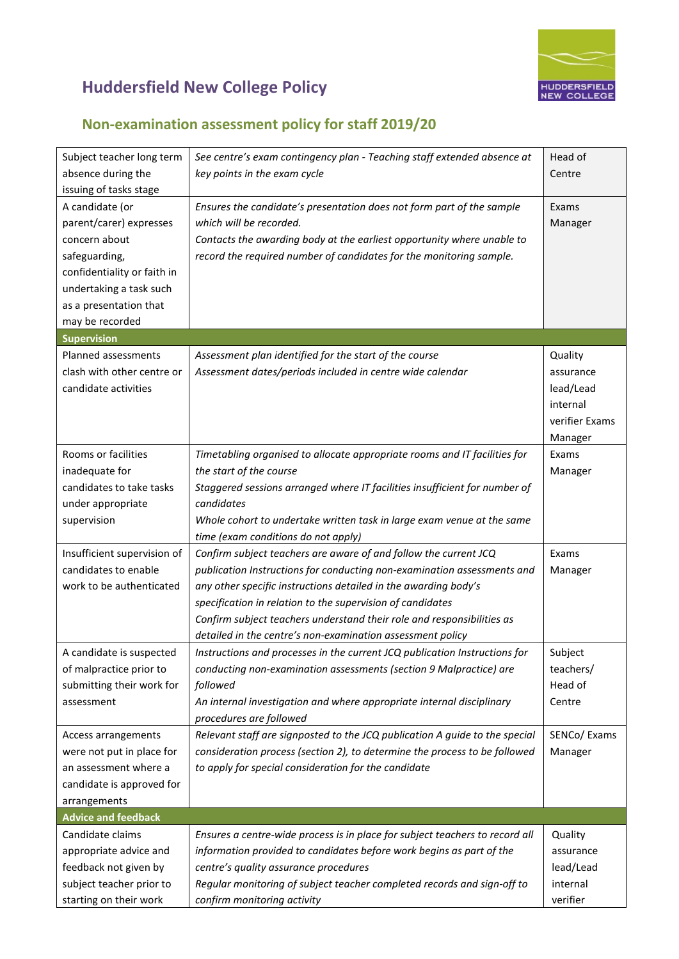

| Subject teacher long term                         | See centre's exam contingency plan - Teaching staff extended absence at                          | Head of        |
|---------------------------------------------------|--------------------------------------------------------------------------------------------------|----------------|
| absence during the                                | key points in the exam cycle                                                                     | Centre         |
| issuing of tasks stage                            |                                                                                                  |                |
| A candidate (or                                   | Ensures the candidate's presentation does not form part of the sample<br>which will be recorded. | Exams          |
| parent/carer) expresses                           |                                                                                                  | Manager        |
| concern about                                     | Contacts the awarding body at the earliest opportunity where unable to                           |                |
| safeguarding,                                     | record the required number of candidates for the monitoring sample.                              |                |
| confidentiality or faith in                       |                                                                                                  |                |
| undertaking a task such<br>as a presentation that |                                                                                                  |                |
| may be recorded                                   |                                                                                                  |                |
| <b>Supervision</b>                                |                                                                                                  |                |
| Planned assessments                               | Assessment plan identified for the start of the course                                           | Quality        |
| clash with other centre or                        |                                                                                                  |                |
| candidate activities                              | Assessment dates/periods included in centre wide calendar                                        | assurance      |
|                                                   |                                                                                                  | lead/Lead      |
|                                                   |                                                                                                  | internal       |
|                                                   |                                                                                                  | verifier Exams |
|                                                   |                                                                                                  | Manager        |
| Rooms or facilities                               | Timetabling organised to allocate appropriate rooms and IT facilities for                        | Exams          |
| inadequate for                                    | the start of the course                                                                          | Manager        |
| candidates to take tasks                          | Staggered sessions arranged where IT facilities insufficient for number of                       |                |
| under appropriate                                 | candidates                                                                                       |                |
| supervision                                       | Whole cohort to undertake written task in large exam venue at the same                           |                |
|                                                   | time (exam conditions do not apply)                                                              |                |
| Insufficient supervision of                       | Confirm subject teachers are aware of and follow the current JCQ                                 | Exams          |
| candidates to enable                              | publication Instructions for conducting non-examination assessments and                          | Manager        |
| work to be authenticated                          | any other specific instructions detailed in the awarding body's                                  |                |
|                                                   | specification in relation to the supervision of candidates                                       |                |
|                                                   | Confirm subject teachers understand their role and responsibilities as                           |                |
|                                                   | detailed in the centre's non-examination assessment policy                                       |                |
| A candidate is suspected                          | Instructions and processes in the current JCQ publication Instructions for                       | Subject        |
| of malpractice prior to                           | conducting non-examination assessments (section 9 Malpractice) are                               | teachers/      |
| submitting their work for                         | followed                                                                                         | Head of        |
| assessment                                        | An internal investigation and where appropriate internal disciplinary                            | Centre         |
|                                                   | procedures are followed                                                                          |                |
| Access arrangements                               | Relevant staff are signposted to the JCQ publication A guide to the special                      | SENCo/ Exams   |
| were not put in place for                         | consideration process (section 2), to determine the process to be followed                       | Manager        |
| an assessment where a                             | to apply for special consideration for the candidate                                             |                |
| candidate is approved for                         |                                                                                                  |                |
| arrangements                                      |                                                                                                  |                |
| <b>Advice and feedback</b>                        |                                                                                                  |                |
| Candidate claims                                  | Ensures a centre-wide process is in place for subject teachers to record all                     | Quality        |
| appropriate advice and                            | information provided to candidates before work begins as part of the                             | assurance      |
| feedback not given by                             | centre's quality assurance procedures                                                            | lead/Lead      |
| subject teacher prior to                          | Regular monitoring of subject teacher completed records and sign-off to                          | internal       |
| starting on their work                            | confirm monitoring activity                                                                      | verifier       |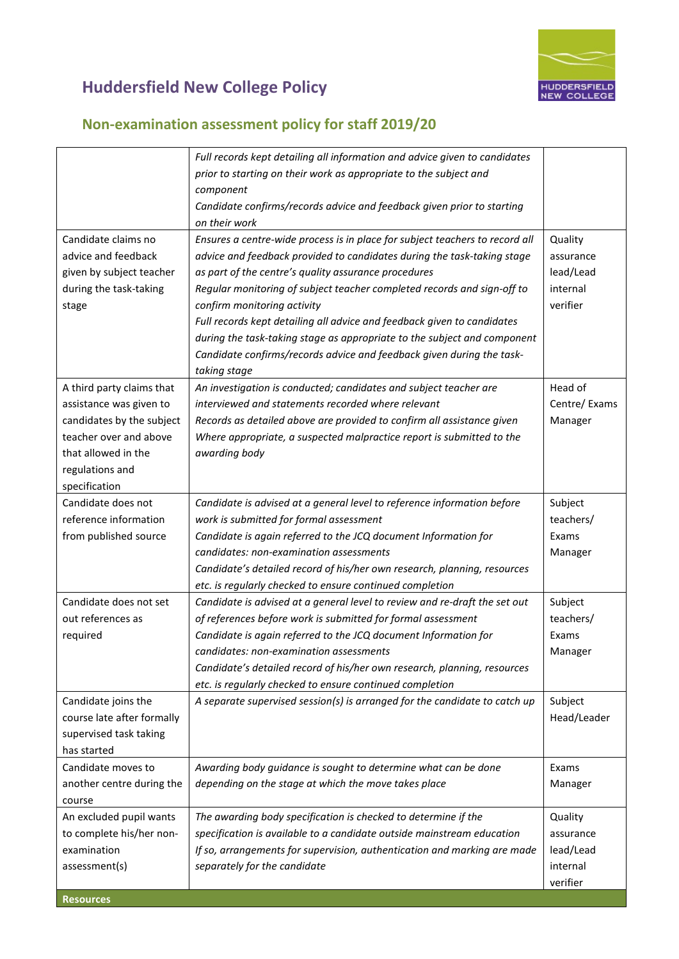

|                            | Full records kept detailing all information and advice given to candidates   |              |
|----------------------------|------------------------------------------------------------------------------|--------------|
|                            | prior to starting on their work as appropriate to the subject and            |              |
|                            | component                                                                    |              |
|                            | Candidate confirms/records advice and feedback given prior to starting       |              |
|                            | on their work                                                                |              |
| Candidate claims no        | Ensures a centre-wide process is in place for subject teachers to record all | Quality      |
| advice and feedback        | advice and feedback provided to candidates during the task-taking stage      | assurance    |
| given by subject teacher   | as part of the centre's quality assurance procedures                         | lead/Lead    |
| during the task-taking     | Regular monitoring of subject teacher completed records and sign-off to      | internal     |
| stage                      | confirm monitoring activity                                                  | verifier     |
|                            | Full records kept detailing all advice and feedback given to candidates      |              |
|                            | during the task-taking stage as appropriate to the subject and component     |              |
|                            | Candidate confirms/records advice and feedback given during the task-        |              |
|                            | taking stage                                                                 |              |
| A third party claims that  | An investigation is conducted; candidates and subject teacher are            | Head of      |
| assistance was given to    | interviewed and statements recorded where relevant                           | Centre/Exams |
| candidates by the subject  | Records as detailed above are provided to confirm all assistance given       | Manager      |
| teacher over and above     | Where appropriate, a suspected malpractice report is submitted to the        |              |
| that allowed in the        | awarding body                                                                |              |
| regulations and            |                                                                              |              |
| specification              |                                                                              |              |
| Candidate does not         | Candidate is advised at a general level to reference information before      | Subject      |
| reference information      | work is submitted for formal assessment                                      | teachers/    |
| from published source      | Candidate is again referred to the JCQ document Information for              | Exams        |
|                            | candidates: non-examination assessments                                      | Manager      |
|                            | Candidate's detailed record of his/her own research, planning, resources     |              |
|                            | etc. is regularly checked to ensure continued completion                     |              |
| Candidate does not set     | Candidate is advised at a general level to review and re-draft the set out   | Subject      |
| out references as          | of references before work is submitted for formal assessment                 | teachers/    |
|                            | Candidate is again referred to the JCQ document Information for              | Exams        |
| required                   | candidates: non-examination assessments                                      |              |
|                            |                                                                              | Manager      |
|                            | Candidate's detailed record of his/her own research, planning, resources     |              |
|                            | etc. is regularly checked to ensure continued completion                     |              |
| Candidate joins the        | A separate supervised session(s) is arranged for the candidate to catch up   | Subject      |
| course late after formally |                                                                              | Head/Leader  |
| supervised task taking     |                                                                              |              |
| has started                |                                                                              |              |
| Candidate moves to         | Awarding body guidance is sought to determine what can be done               | Exams        |
| another centre during the  | depending on the stage at which the move takes place                         | Manager      |
| course                     |                                                                              |              |
| An excluded pupil wants    | The awarding body specification is checked to determine if the               | Quality      |
| to complete his/her non-   | specification is available to a candidate outside mainstream education       | assurance    |
| examination                | If so, arrangements for supervision, authentication and marking are made     | lead/Lead    |
| assessment(s)              | separately for the candidate                                                 | internal     |
|                            |                                                                              | verifier     |
| <b>Resources</b>           |                                                                              |              |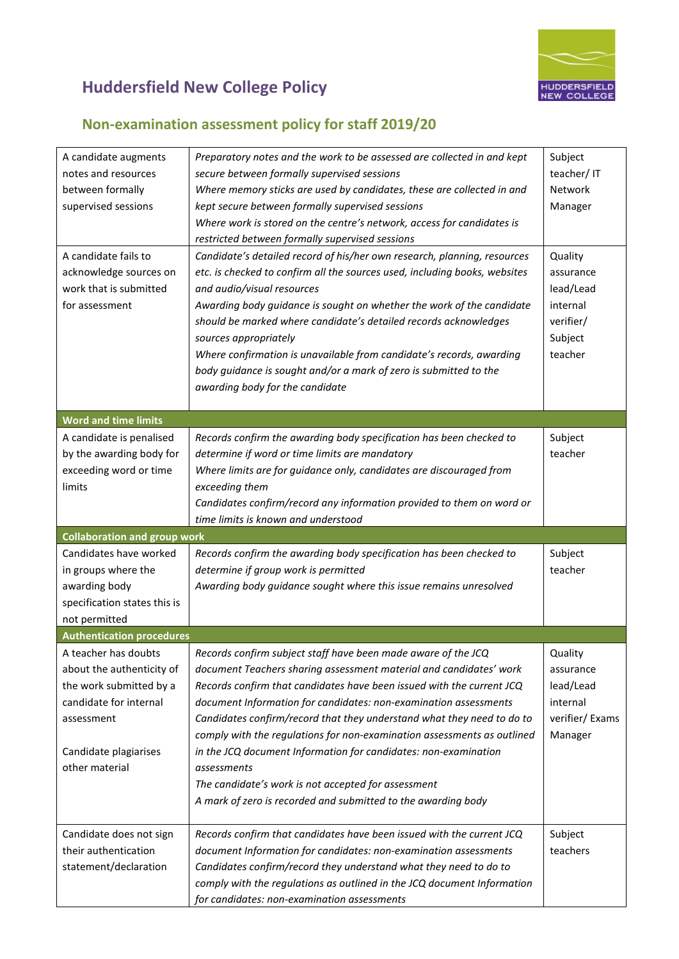

| A candidate augments<br>notes and resources<br>between formally<br>supervised sessions<br>A candidate fails to<br>acknowledge sources on<br>work that is submitted<br>for assessment | Preparatory notes and the work to be assessed are collected in and kept<br>secure between formally supervised sessions<br>Where memory sticks are used by candidates, these are collected in and<br>kept secure between formally supervised sessions<br>Where work is stored on the centre's network, access for candidates is<br>restricted between formally supervised sessions<br>Candidate's detailed record of his/her own research, planning, resources<br>etc. is checked to confirm all the sources used, including books, websites<br>and audio/visual resources<br>Awarding body guidance is sought on whether the work of the candidate<br>should be marked where candidate's detailed records acknowledges | Subject<br>teacher/IT<br>Network<br>Manager<br>Quality<br>assurance<br>lead/Lead<br>internal<br>verifier/ |
|--------------------------------------------------------------------------------------------------------------------------------------------------------------------------------------|------------------------------------------------------------------------------------------------------------------------------------------------------------------------------------------------------------------------------------------------------------------------------------------------------------------------------------------------------------------------------------------------------------------------------------------------------------------------------------------------------------------------------------------------------------------------------------------------------------------------------------------------------------------------------------------------------------------------|-----------------------------------------------------------------------------------------------------------|
|                                                                                                                                                                                      | sources appropriately<br>Where confirmation is unavailable from candidate's records, awarding<br>body guidance is sought and/or a mark of zero is submitted to the<br>awarding body for the candidate                                                                                                                                                                                                                                                                                                                                                                                                                                                                                                                  | Subject<br>teacher                                                                                        |
| <b>Word and time limits</b>                                                                                                                                                          |                                                                                                                                                                                                                                                                                                                                                                                                                                                                                                                                                                                                                                                                                                                        |                                                                                                           |
| A candidate is penalised<br>by the awarding body for<br>exceeding word or time<br>limits                                                                                             | Records confirm the awarding body specification has been checked to<br>determine if word or time limits are mandatory<br>Where limits are for guidance only, candidates are discouraged from<br>exceeding them<br>Candidates confirm/record any information provided to them on word or<br>time limits is known and understood                                                                                                                                                                                                                                                                                                                                                                                         | Subject<br>teacher                                                                                        |
| <b>Collaboration and group work</b>                                                                                                                                                  |                                                                                                                                                                                                                                                                                                                                                                                                                                                                                                                                                                                                                                                                                                                        |                                                                                                           |
| Candidates have worked<br>in groups where the<br>awarding body<br>specification states this is<br>not permitted                                                                      | Records confirm the awarding body specification has been checked to<br>determine if group work is permitted<br>Awarding body guidance sought where this issue remains unresolved                                                                                                                                                                                                                                                                                                                                                                                                                                                                                                                                       | Subject<br>teacher                                                                                        |
| <b>Authentication procedures</b>                                                                                                                                                     |                                                                                                                                                                                                                                                                                                                                                                                                                                                                                                                                                                                                                                                                                                                        |                                                                                                           |
| A teacher has doubts<br>about the authenticity of<br>the work submitted by a<br>candidate for internal<br>assessment<br>Candidate plagiarises<br>other material                      | Records confirm subject staff have been made aware of the JCQ<br>document Teachers sharing assessment material and candidates' work<br>Records confirm that candidates have been issued with the current JCQ<br>document Information for candidates: non-examination assessments<br>Candidates confirm/record that they understand what they need to do to<br>comply with the regulations for non-examination assessments as outlined<br>in the JCQ document Information for candidates: non-examination<br>assessments<br>The candidate's work is not accepted for assessment<br>A mark of zero is recorded and submitted to the awarding body                                                                        | Quality<br>assurance<br>lead/Lead<br>internal<br>verifier/Exams<br>Manager                                |
| Candidate does not sign<br>their authentication<br>statement/declaration                                                                                                             | Records confirm that candidates have been issued with the current JCQ<br>document Information for candidates: non-examination assessments<br>Candidates confirm/record they understand what they need to do to<br>comply with the regulations as outlined in the JCQ document Information<br>for candidates: non-examination assessments                                                                                                                                                                                                                                                                                                                                                                               | Subject<br>teachers                                                                                       |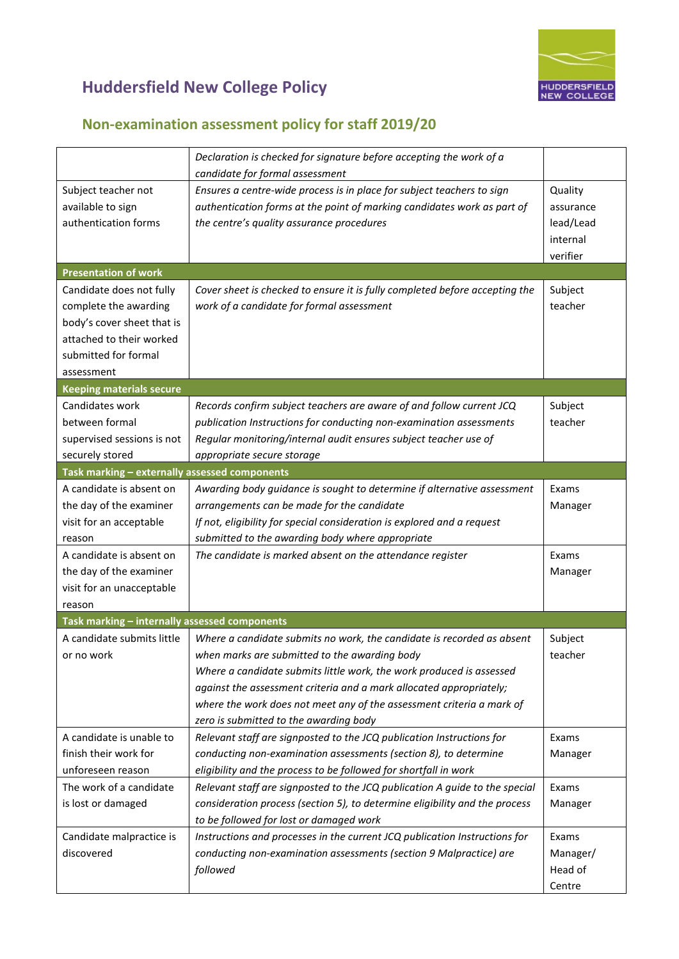

|                                                                                               | Declaration is checked for signature before accepting the work of a<br>candidate for formal assessment                   |                      |
|-----------------------------------------------------------------------------------------------|--------------------------------------------------------------------------------------------------------------------------|----------------------|
| Ensures a centre-wide process is in place for subject teachers to sign<br>Subject teacher not |                                                                                                                          |                      |
| available to sign                                                                             | authentication forms at the point of marking candidates work as part of                                                  | Quality<br>assurance |
| authentication forms                                                                          | the centre's quality assurance procedures                                                                                | lead/Lead            |
|                                                                                               |                                                                                                                          |                      |
|                                                                                               |                                                                                                                          | internal<br>verifier |
| <b>Presentation of work</b>                                                                   |                                                                                                                          |                      |
| Candidate does not fully                                                                      |                                                                                                                          |                      |
| complete the awarding                                                                         | Cover sheet is checked to ensure it is fully completed before accepting the<br>work of a candidate for formal assessment | Subject<br>teacher   |
| body's cover sheet that is                                                                    |                                                                                                                          |                      |
| attached to their worked                                                                      |                                                                                                                          |                      |
| submitted for formal                                                                          |                                                                                                                          |                      |
|                                                                                               |                                                                                                                          |                      |
| assessment<br><b>Keeping materials secure</b>                                                 |                                                                                                                          |                      |
| Candidates work                                                                               |                                                                                                                          | Subject              |
| between formal                                                                                | Records confirm subject teachers are aware of and follow current JCQ                                                     | teacher              |
|                                                                                               | publication Instructions for conducting non-examination assessments                                                      |                      |
| supervised sessions is not                                                                    | Regular monitoring/internal audit ensures subject teacher use of                                                         |                      |
| securely stored                                                                               | appropriate secure storage                                                                                               |                      |
| Task marking - externally assessed components<br>A candidate is absent on                     |                                                                                                                          |                      |
| the day of the examiner                                                                       | Awarding body guidance is sought to determine if alternative assessment<br>arrangements can be made for the candidate    | Exams                |
| visit for an acceptable                                                                       | If not, eligibility for special consideration is explored and a request                                                  | Manager              |
| reason                                                                                        | submitted to the awarding body where appropriate                                                                         |                      |
| A candidate is absent on                                                                      | The candidate is marked absent on the attendance register                                                                | Exams                |
| the day of the examiner                                                                       |                                                                                                                          | Manager              |
| visit for an unacceptable                                                                     |                                                                                                                          |                      |
| reason                                                                                        |                                                                                                                          |                      |
| Task marking - internally assessed components                                                 |                                                                                                                          |                      |
| A candidate submits little                                                                    | Where a candidate submits no work, the candidate is recorded as absent                                                   | Subject              |
| or no work                                                                                    | when marks are submitted to the awarding body                                                                            | teacher              |
|                                                                                               | Where a candidate submits little work, the work produced is assessed                                                     |                      |
|                                                                                               | against the assessment criteria and a mark allocated appropriately;                                                      |                      |
|                                                                                               | where the work does not meet any of the assessment criteria a mark of                                                    |                      |
|                                                                                               | zero is submitted to the awarding body                                                                                   |                      |
| A candidate is unable to                                                                      | Relevant staff are signposted to the JCQ publication Instructions for                                                    | Exams                |
| finish their work for                                                                         | conducting non-examination assessments (section 8), to determine                                                         | Manager              |
| unforeseen reason                                                                             | eligibility and the process to be followed for shortfall in work                                                         |                      |
| The work of a candidate                                                                       | Relevant staff are signposted to the JCQ publication A guide to the special                                              | Exams                |
| is lost or damaged                                                                            | consideration process (section 5), to determine eligibility and the process                                              | Manager              |
|                                                                                               | to be followed for lost or damaged work                                                                                  |                      |
| Candidate malpractice is                                                                      | Instructions and processes in the current JCQ publication Instructions for                                               | Exams                |
| discovered                                                                                    | conducting non-examination assessments (section 9 Malpractice) are                                                       | Manager/             |
|                                                                                               | followed                                                                                                                 | Head of              |
|                                                                                               |                                                                                                                          | Centre               |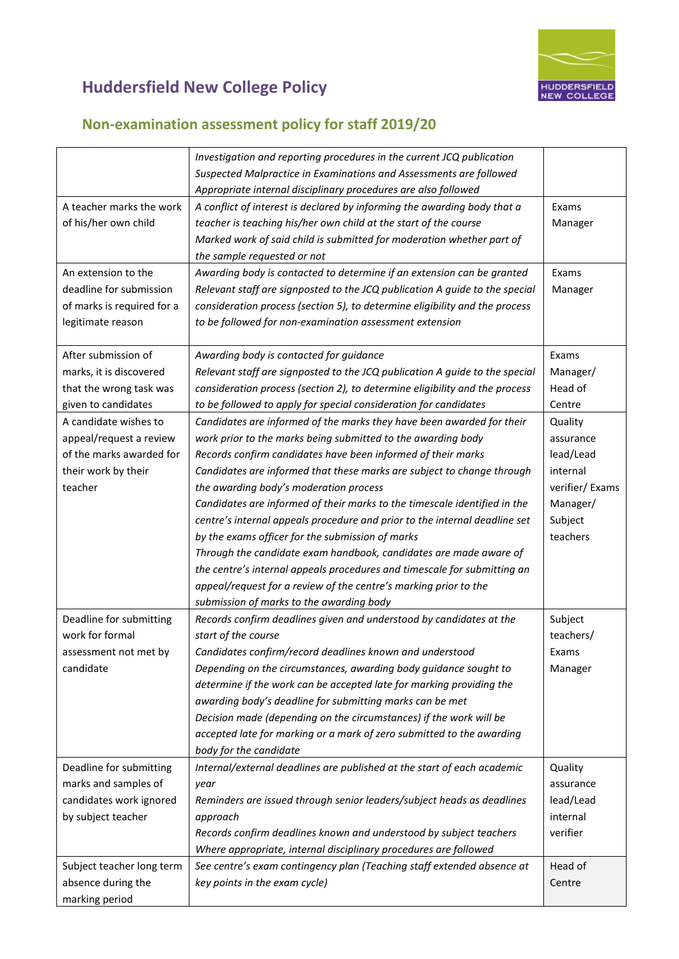

|                            | Investigation and reporting procedures in the current JCQ publication       |                |
|----------------------------|-----------------------------------------------------------------------------|----------------|
|                            | Suspected Malpractice in Examinations and Assessments are followed          |                |
|                            | Appropriate internal disciplinary procedures are also followed              |                |
| A teacher marks the work   | A conflict of interest is declared by informing the awarding body that a    | Exams          |
| of his/her own child       | teacher is teaching his/her own child at the start of the course            | Manager        |
|                            | Marked work of said child is submitted for moderation whether part of       |                |
|                            | the sample requested or not                                                 |                |
| An extension to the        | Awarding body is contacted to determine if an extension can be granted      | Exams          |
| deadline for submission    | Relevant staff are signposted to the JCQ publication A guide to the special | Manager        |
| of marks is required for a | consideration process (section 5), to determine eligibility and the process |                |
| legitimate reason          | to be followed for non-examination assessment extension                     |                |
|                            |                                                                             |                |
| After submission of        | Awarding body is contacted for guidance                                     | Exams          |
| marks, it is discovered    | Relevant staff are signposted to the JCQ publication A guide to the special | Manager/       |
| that the wrong task was    | consideration process (section 2), to determine eligibility and the process | Head of        |
| given to candidates        | to be followed to apply for special consideration for candidates            | Centre         |
| A candidate wishes to      | Candidates are informed of the marks they have been awarded for their       | Quality        |
| appeal/request a review    | work prior to the marks being submitted to the awarding body                | assurance      |
| of the marks awarded for   | Records confirm candidates have been informed of their marks                | lead/Lead      |
|                            | Candidates are informed that these marks are subject to change through      | internal       |
| their work by their        |                                                                             |                |
| teacher                    | the awarding body's moderation process                                      | verifier/Exams |
|                            | Candidates are informed of their marks to the timescale identified in the   | Manager/       |
|                            | centre's internal appeals procedure and prior to the internal deadline set  | Subject        |
|                            | by the exams officer for the submission of marks                            | teachers       |
|                            | Through the candidate exam handbook, candidates are made aware of           |                |
|                            | the centre's internal appeals procedures and timescale for submitting an    |                |
|                            | appeal/request for a review of the centre's marking prior to the            |                |
|                            | submission of marks to the awarding body                                    |                |
| Deadline for submitting    | Records confirm deadlines given and understood by candidates at the         | Subject        |
| work for formal            | start of the course                                                         | teachers/      |
| assessment not met by      | Candidates confirm/record deadlines known and understood                    | Exams          |
| candidate                  | Depending on the circumstances, awarding body guidance sought to            | Manager        |
|                            | determine if the work can be accepted late for marking providing the        |                |
|                            | awarding body's deadline for submitting marks can be met                    |                |
|                            | Decision made (depending on the circumstances) if the work will be          |                |
|                            | accepted late for marking or a mark of zero submitted to the awarding       |                |
|                            | body for the candidate                                                      |                |
| Deadline for submitting    | Internal/external deadlines are published at the start of each academic     | Quality        |
| marks and samples of       | year                                                                        | assurance      |
| candidates work ignored    | Reminders are issued through senior leaders/subject heads as deadlines      | lead/Lead      |
| by subject teacher         | approach                                                                    | internal       |
|                            | Records confirm deadlines known and understood by subject teachers          | verifier       |
|                            | Where appropriate, internal disciplinary procedures are followed            |                |
|                            |                                                                             | Head of        |
| Subject teacher long term  | See centre's exam contingency plan (Teaching staff extended absence at      |                |
| absence during the         | key points in the exam cycle)                                               | Centre         |
| marking period             |                                                                             |                |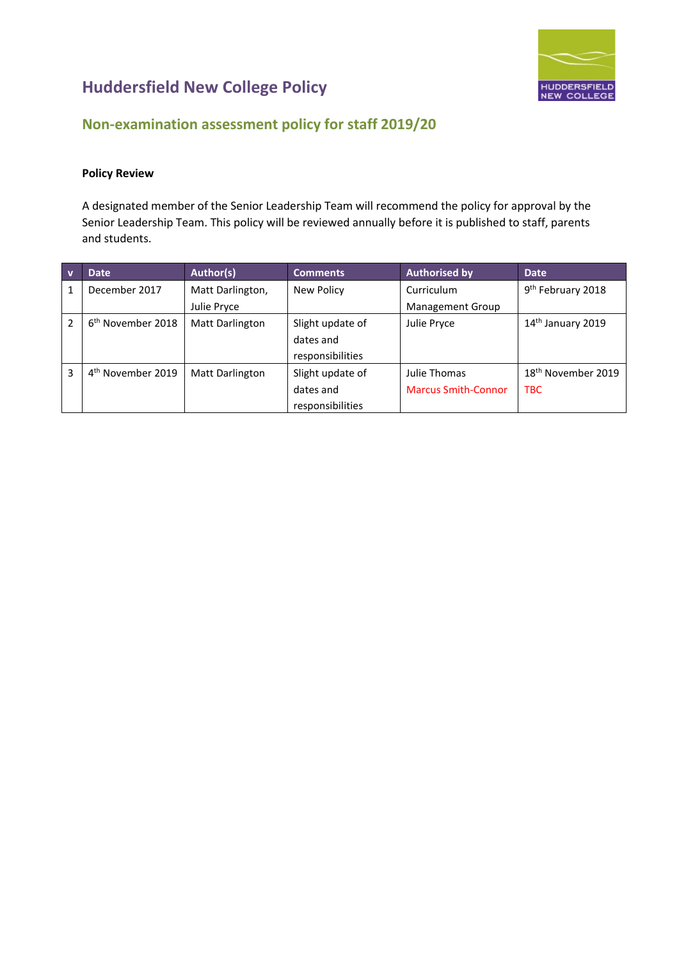

### **Non-examination assessment policy for staff 2019/20**

#### **Policy Review**

A designated member of the Senior Leadership Team will recommend the policy for approval by the Senior Leadership Team. This policy will be reviewed annually before it is published to staff, parents and students.

| $\overline{\mathbf{v}}$ | <b>Date</b>                   | Author(s)              | <b>Comments</b>  | <b>Authorised by</b>       | <b>Date</b>                    |
|-------------------------|-------------------------------|------------------------|------------------|----------------------------|--------------------------------|
| 1                       | December 2017                 | Matt Darlington,       | New Policy       | Curriculum                 | 9 <sup>th</sup> February 2018  |
|                         |                               | Julie Pryce            |                  | <b>Management Group</b>    |                                |
| $\mathfrak z$           | 6 <sup>th</sup> November 2018 | <b>Matt Darlington</b> | Slight update of | Julie Pryce                | $14th$ January 2019            |
|                         |                               |                        | dates and        |                            |                                |
|                         |                               |                        | responsibilities |                            |                                |
| 3                       | 4 <sup>th</sup> November 2019 | <b>Matt Darlington</b> | Slight update of | Julie Thomas               | 18 <sup>th</sup> November 2019 |
|                         |                               |                        | dates and        | <b>Marcus Smith-Connor</b> | <b>TBC</b>                     |
|                         |                               |                        | responsibilities |                            |                                |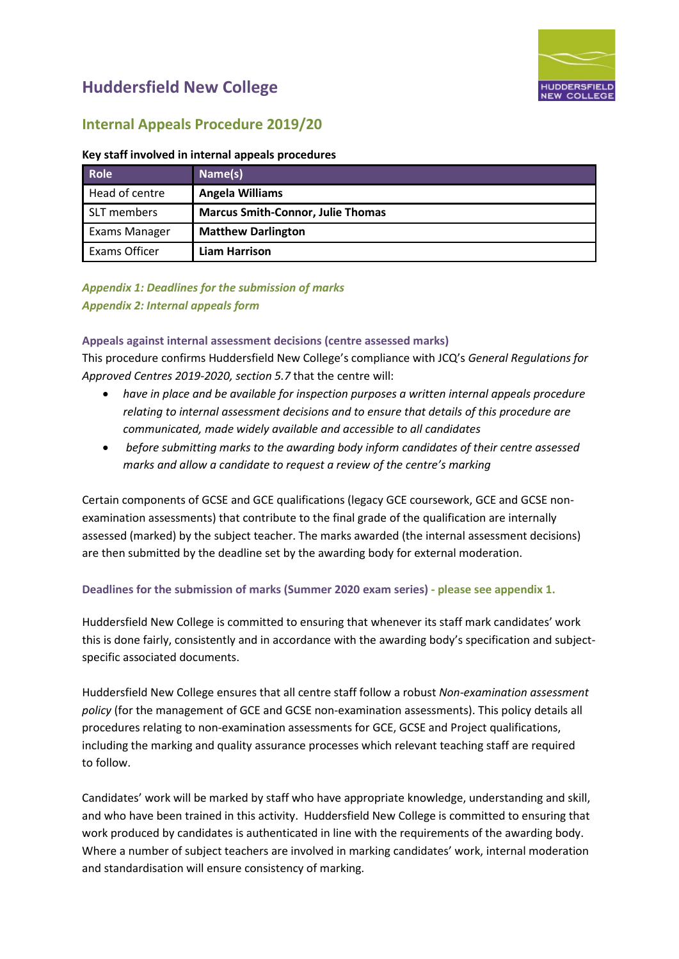

### **Internal Appeals Procedure 2019/20**

#### **Key staff involved in internal appeals procedures**

| <b>Role</b>    | Name(s)                                  |
|----------------|------------------------------------------|
| Head of centre | <b>Angela Williams</b>                   |
| SLT members    | <b>Marcus Smith-Connor, Julie Thomas</b> |
| Exams Manager  | <b>Matthew Darlington</b>                |
| Exams Officer  | <b>Liam Harrison</b>                     |

#### *Appendix 1: Deadlines for the submission of marks Appendix 2: Internal appeals form*

#### **Appeals against internal assessment decisions (centre assessed marks)**

This procedure confirms Huddersfield New College's compliance with JCQ's *General Regulations for Approved Centres 2019-2020, section 5.7* that the centre will:

- *have in place and be available for inspection purposes a written internal appeals procedure relating to internal assessment decisions and to ensure that details of this procedure are communicated, made widely available and accessible to all candidates*
- *before submitting marks to the awarding body inform candidates of their centre assessed marks and allow a candidate to request a review of the centre's marking*

Certain components of GCSE and GCE qualifications (legacy GCE coursework, GCE and GCSE nonexamination assessments) that contribute to the final grade of the qualification are internally assessed (marked) by the subject teacher. The marks awarded (the internal assessment decisions) are then submitted by the deadline set by the awarding body for external moderation.

#### **Deadlines for the submission of marks (Summer 2020 exam series) - please see appendix 1.**

Huddersfield New College is committed to ensuring that whenever its staff mark candidates' work this is done fairly, consistently and in accordance with the awarding body's specification and subjectspecific associated documents.

Huddersfield New College ensures that all centre staff follow a robust *Non-examination assessment policy* (for the management of GCE and GCSE non-examination assessments). This policy details all procedures relating to non-examination assessments for GCE, GCSE and Project qualifications, including the marking and quality assurance processes which relevant teaching staff are required to follow.

Candidates' work will be marked by staff who have appropriate knowledge, understanding and skill, and who have been trained in this activity. Huddersfield New College is committed to ensuring that work produced by candidates is authenticated in line with the requirements of the awarding body. Where a number of subject teachers are involved in marking candidates' work, internal moderation and standardisation will ensure consistency of marking.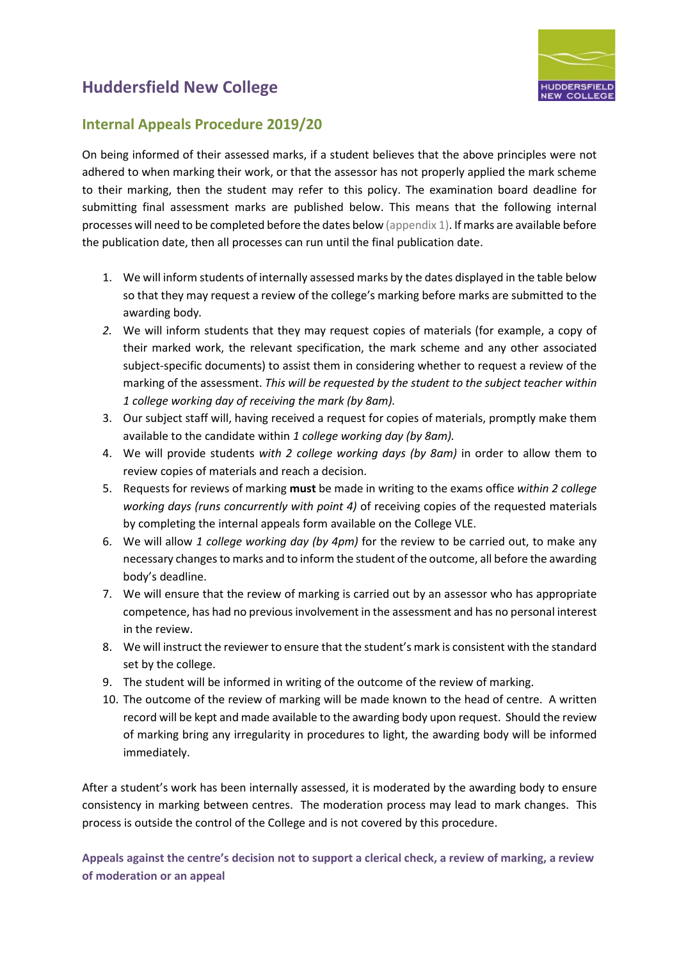

### **Internal Appeals Procedure 2019/20**

On being informed of their assessed marks, if a student believes that the above principles were not adhered to when marking their work, or that the assessor has not properly applied the mark scheme to their marking, then the student may refer to this policy. The examination board deadline for submitting final assessment marks are published below. This means that the following internal processes will need to be completed before the dates below (appendix 1). If marks are available before the publication date, then all processes can run until the final publication date.

- 1. We will inform students of internally assessed marks by the dates displayed in the table below so that they may request a review of the college's marking before marks are submitted to the awarding body*.*
- *2.* We will inform students that they may request copies of materials (for example, a copy of their marked work, the relevant specification, the mark scheme and any other associated subject-specific documents) to assist them in considering whether to request a review of the marking of the assessment. *This will be requested by the student to the subject teacher within 1 college working day of receiving the mark (by 8am).*
- 3. Our subject staff will, having received a request for copies of materials, promptly make them available to the candidate within *1 college working day (by 8am).*
- 4. We will provide students *with 2 college working days (by 8am)* in order to allow them to review copies of materials and reach a decision.
- 5. Requests for reviews of marking **must** be made in writing to the exams office *within 2 college working days (runs concurrently with point 4)* of receiving copies of the requested materials by completing the internal appeals form available on the College VLE.
- 6. We will allow *1 college working day (by 4pm)* for the review to be carried out, to make any necessary changes to marks and to inform the student of the outcome, all before the awarding body's deadline.
- 7. We will ensure that the review of marking is carried out by an assessor who has appropriate competence, has had no previous involvement in the assessment and has no personal interest in the review.
- 8. We will instruct the reviewer to ensure that the student's mark is consistent with the standard set by the college.
- 9. The student will be informed in writing of the outcome of the review of marking.
- 10. The outcome of the review of marking will be made known to the head of centre. A written record will be kept and made available to the awarding body upon request. Should the review of marking bring any irregularity in procedures to light, the awarding body will be informed immediately.

After a student's work has been internally assessed, it is moderated by the awarding body to ensure consistency in marking between centres. The moderation process may lead to mark changes. This process is outside the control of the College and is not covered by this procedure.

**Appeals against the centre's decision not to support a clerical check, a review of marking, a review of moderation or an appeal**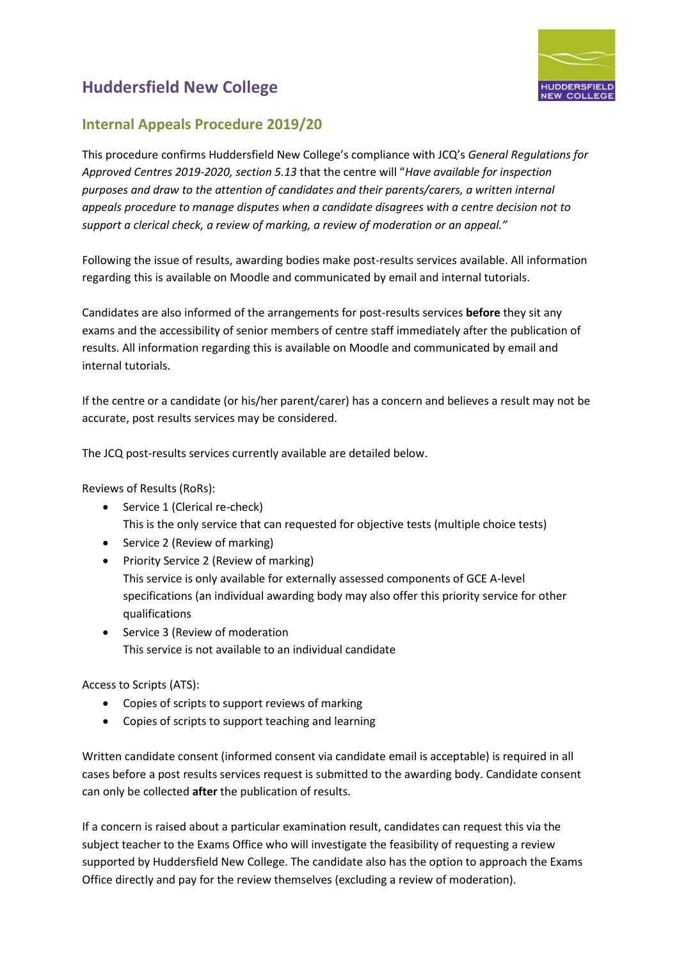

### **Internal Appeals Procedure 2019/20**

This procedure confirms Huddersfield New College's compliance with JCQ's *General Regulations for Approved Centres 2019-2020, section 5.13* that the centre will "*Have available for inspection purposes and draw to the attention of candidates and their parents/carers, a written internal appeals procedure to manage disputes when a candidate disagrees with a centre decision not to support a clerical check, a review of marking, a review of moderation or an appeal."*

Following the issue of results, awarding bodies make post-results services available. All information regarding this is available on Moodle and communicated by email and internal tutorials.

Candidates are also informed of the arrangements for post-results services **before** they sit any exams and the accessibility of senior members of centre staff immediately after the publication of results. All information regarding this is available on Moodle and communicated by email and internal tutorials.

If the centre or a candidate (or his/her parent/carer) has a concern and believes a result may not be accurate, post results services may be considered.

The JCQ post-results services currently available are detailed below.

Reviews of Results (RoRs):

- Service 1 (Clerical re-check) This is the only service that can requested for objective tests (multiple choice tests)
- Service 2 (Review of marking)
- Priority Service 2 (Review of marking) This service is only available for externally assessed components of GCE A-level specifications (an individual awarding body may also offer this priority service for other qualifications
- Service 3 (Review of moderation This service is not available to an individual candidate

Access to Scripts (ATS):

- Copies of scripts to support reviews of marking
- Copies of scripts to support teaching and learning

Written candidate consent (informed consent via candidate email is acceptable) is required in all cases before a post results services request is submitted to the awarding body. Candidate consent can only be collected **after** the publication of results.

If a concern is raised about a particular examination result, candidates can request this via the subject teacher to the Exams Office who will investigate the feasibility of requesting a review supported by Huddersfield New College. The candidate also has the option to approach the Exams Office directly and pay for the review themselves (excluding a review of moderation).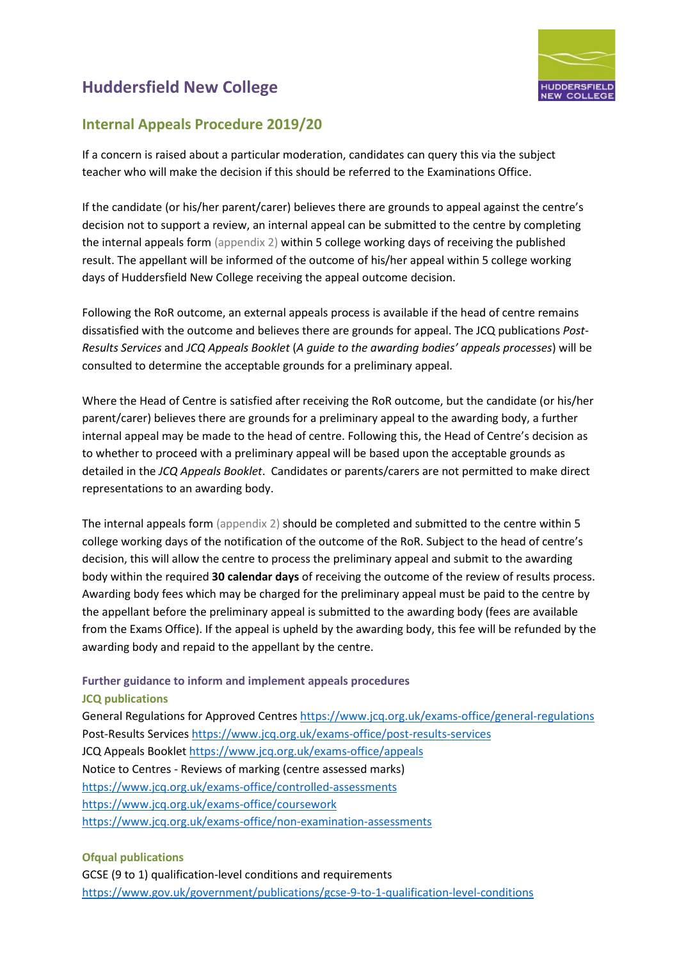

### **Internal Appeals Procedure 2019/20**

If a concern is raised about a particular moderation, candidates can query this via the subject teacher who will make the decision if this should be referred to the Examinations Office.

If the candidate (or his/her parent/carer) believes there are grounds to appeal against the centre's decision not to support a review, an internal appeal can be submitted to the centre by completing the internal appeals form (appendix 2) within 5 college working days of receiving the published result. The appellant will be informed of the outcome of his/her appeal within 5 college working days of Huddersfield New College receiving the appeal outcome decision.

Following the RoR outcome, an external appeals process is available if the head of centre remains dissatisfied with the outcome and believes there are grounds for appeal. The JCQ publications *Post-Results Services* and *JCQ Appeals Booklet* (*A guide to the awarding bodies' appeals processes*) will be consulted to determine the acceptable grounds for a preliminary appeal.

Where the Head of Centre is satisfied after receiving the RoR outcome, but the candidate (or his/her parent/carer) believes there are grounds for a preliminary appeal to the awarding body, a further internal appeal may be made to the head of centre. Following this, the Head of Centre's decision as to whether to proceed with a preliminary appeal will be based upon the acceptable grounds as detailed in the *JCQ Appeals Booklet*. Candidates or parents/carers are not permitted to make direct representations to an awarding body.

The internal appeals form (appendix 2) should be completed and submitted to the centre within 5 college working days of the notification of the outcome of the RoR. Subject to the head of centre's decision, this will allow the centre to process the preliminary appeal and submit to the awarding body within the required **30 calendar days** of receiving the outcome of the review of results process. Awarding body fees which may be charged for the preliminary appeal must be paid to the centre by the appellant before the preliminary appeal is submitted to the awarding body (fees are available from the Exams Office). If the appeal is upheld by the awarding body, this fee will be refunded by the awarding body and repaid to the appellant by the centre.

#### **Further guidance to inform and implement appeals procedures JCQ publications**

General Regulations for Approved Centres<https://www.jcq.org.uk/exams-office/general-regulations> Post-Results Services<https://www.jcq.org.uk/exams-office/post-results-services> JCQ Appeals Booklet<https://www.jcq.org.uk/exams-office/appeals> Notice to Centres - Reviews of marking (centre assessed marks) <https://www.jcq.org.uk/exams-office/controlled-assessments> <https://www.jcq.org.uk/exams-office/coursework> <https://www.jcq.org.uk/exams-office/non-examination-assessments>

#### **Ofqual publications**

GCSE (9 to 1) qualification-level conditions and requirements <https://www.gov.uk/government/publications/gcse-9-to-1-qualification-level-conditions>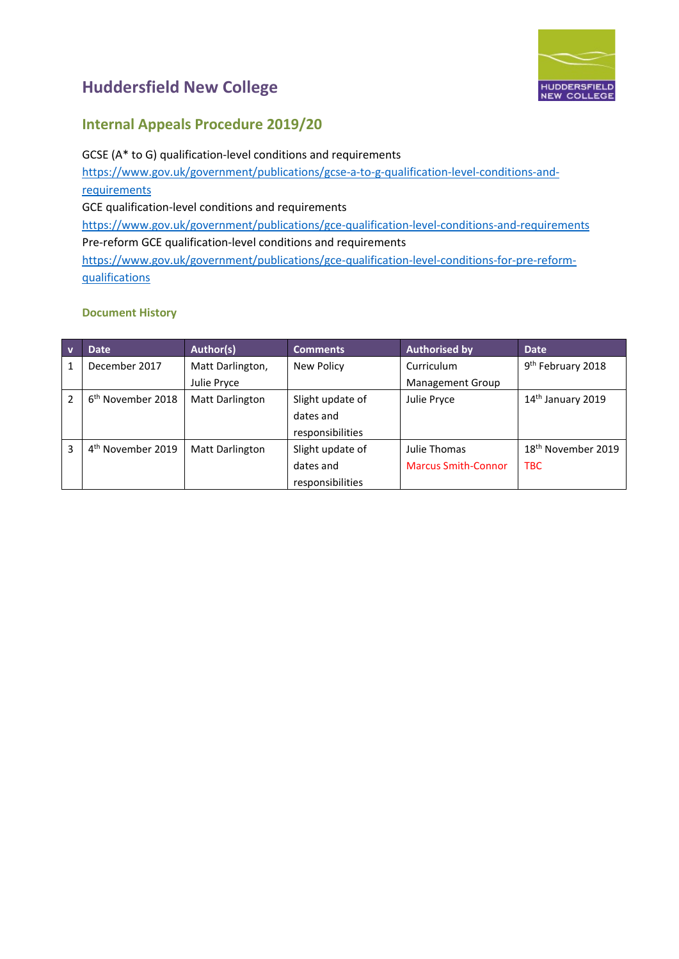

### **Internal Appeals Procedure 2019/20**

GCSE (A\* to G) qualification-level conditions and requirements [https://www.gov.uk/government/publications/gcse-a-to-g-qualification-level-conditions-and](https://www.gov.uk/government/publications/gcse-a-to-g-qualification-level-conditions-and-requirements)[requirements](https://www.gov.uk/government/publications/gcse-a-to-g-qualification-level-conditions-and-requirements) GCE qualification-level conditions and requirements <https://www.gov.uk/government/publications/gce-qualification-level-conditions-and-requirements> Pre-reform GCE qualification-level conditions and requirements [https://www.gov.uk/government/publications/gce-qualification-level-conditions-for-pre-reform](https://www.gov.uk/government/publications/gce-qualification-level-conditions-for-pre-reform-qualifications)[qualifications](https://www.gov.uk/government/publications/gce-qualification-level-conditions-for-pre-reform-qualifications)

#### **Document History**

| $\overline{\mathsf{v}}$ | <b>Date</b>                   | Author(s)              | <b>Comments</b>  | <b>Authorised by</b>       | <b>Date</b>                    |
|-------------------------|-------------------------------|------------------------|------------------|----------------------------|--------------------------------|
|                         | December 2017                 | Matt Darlington,       | New Policy       | Curriculum                 | 9 <sup>th</sup> February 2018  |
|                         |                               | Julie Pryce            |                  | <b>Management Group</b>    |                                |
| $\mathfrak z$           | 6 <sup>th</sup> November 2018 | <b>Matt Darlington</b> | Slight update of | Julie Pryce                | 14 <sup>th</sup> January 2019  |
|                         |                               |                        | dates and        |                            |                                |
|                         |                               |                        | responsibilities |                            |                                |
| 3                       | 4 <sup>th</sup> November 2019 | <b>Matt Darlington</b> | Slight update of | Julie Thomas               | 18 <sup>th</sup> November 2019 |
|                         |                               |                        | dates and        | <b>Marcus Smith-Connor</b> | <b>TBC</b>                     |
|                         |                               |                        | responsibilities |                            |                                |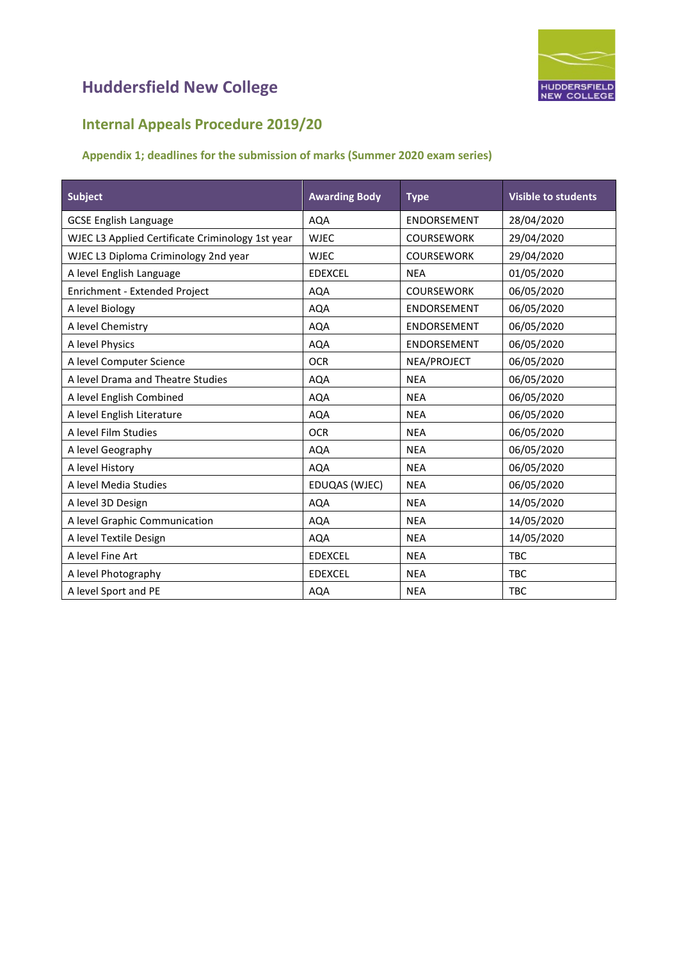

### **Internal Appeals Procedure 2019/20**

#### **Appendix 1; deadlines for the submission of marks (Summer 2020 exam series)**

| <b>Subject</b>                                   | <b>Awarding Body</b> | <b>Type</b>        | <b>Visible to students</b> |
|--------------------------------------------------|----------------------|--------------------|----------------------------|
| <b>GCSE English Language</b>                     | <b>AQA</b>           | <b>ENDORSEMENT</b> | 28/04/2020                 |
| WJEC L3 Applied Certificate Criminology 1st year | <b>WJEC</b>          | <b>COURSEWORK</b>  | 29/04/2020                 |
| WJEC L3 Diploma Criminology 2nd year             | <b>WJEC</b>          | <b>COURSEWORK</b>  | 29/04/2020                 |
| A level English Language                         | <b>EDEXCEL</b>       | <b>NEA</b>         | 01/05/2020                 |
| Enrichment - Extended Project                    | <b>AQA</b>           | <b>COURSEWORK</b>  | 06/05/2020                 |
| A level Biology                                  | <b>AQA</b>           | <b>ENDORSEMENT</b> | 06/05/2020                 |
| A level Chemistry                                | <b>AQA</b>           | <b>ENDORSEMENT</b> | 06/05/2020                 |
| A level Physics                                  | <b>AQA</b>           | <b>ENDORSEMENT</b> | 06/05/2020                 |
| A level Computer Science                         | <b>OCR</b>           | NEA/PROJECT        | 06/05/2020                 |
| A level Drama and Theatre Studies                | <b>AQA</b>           | <b>NEA</b>         | 06/05/2020                 |
| A level English Combined                         | <b>AQA</b>           | <b>NEA</b>         | 06/05/2020                 |
| A level English Literature                       | <b>AQA</b>           | <b>NEA</b>         | 06/05/2020                 |
| A level Film Studies                             | <b>OCR</b>           | <b>NEA</b>         | 06/05/2020                 |
| A level Geography                                | <b>AQA</b>           | <b>NEA</b>         | 06/05/2020                 |
| A level History                                  | <b>AQA</b>           | <b>NEA</b>         | 06/05/2020                 |
| A level Media Studies                            | EDUQAS (WJEC)        | <b>NEA</b>         | 06/05/2020                 |
| A level 3D Design                                | <b>AQA</b>           | <b>NEA</b>         | 14/05/2020                 |
| A level Graphic Communication                    | <b>AQA</b>           | <b>NEA</b>         | 14/05/2020                 |
| A level Textile Design                           | <b>AQA</b>           | <b>NEA</b>         | 14/05/2020                 |
| A level Fine Art                                 | <b>EDEXCEL</b>       | <b>NEA</b>         | <b>TBC</b>                 |
| A level Photography                              | <b>EDEXCEL</b>       | <b>NEA</b>         | <b>TBC</b>                 |
| A level Sport and PE                             | <b>AQA</b>           | <b>NEA</b>         | <b>TBC</b>                 |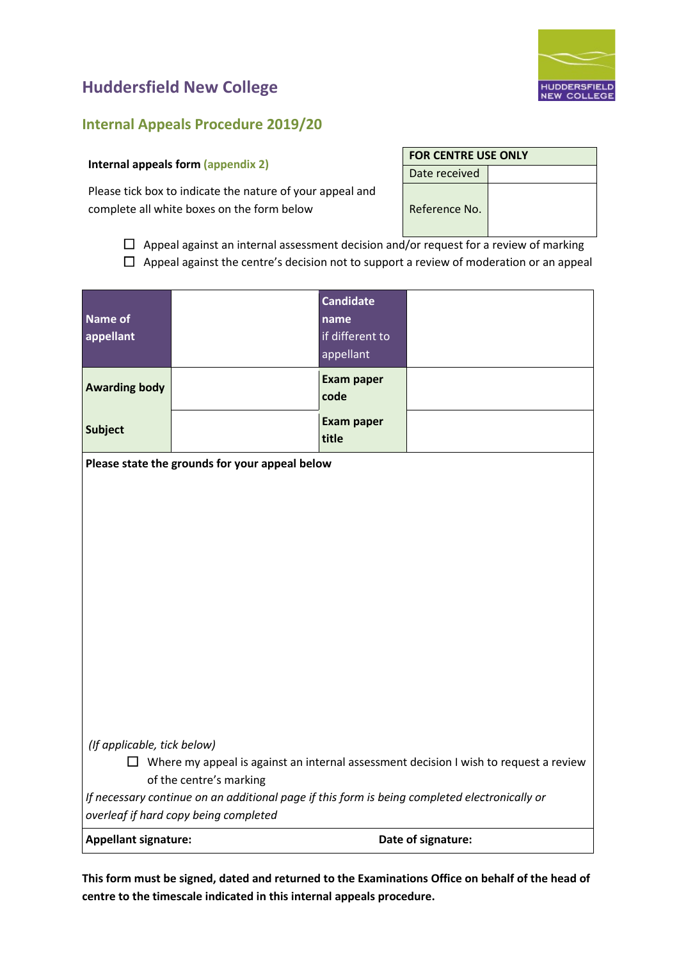

#### **Internal Appeals Procedure 2019/20**

#### **Internal appeals form (appendix 2)**

Please tick box to indicate the nature of your appeal and complete all white boxes on the form below Reference No.

 $\Box$  Appeal against an internal assessment decision and/or request for a review of marking  $\Box$  Appeal against the centre's decision not to support a review of moderation or an appeal

| Name of<br>appellant                                                                                                                                   |                                                                                                                                        | <b>Candidate</b><br>name<br>if different to<br>appellant |                    |  |  |
|--------------------------------------------------------------------------------------------------------------------------------------------------------|----------------------------------------------------------------------------------------------------------------------------------------|----------------------------------------------------------|--------------------|--|--|
| <b>Awarding body</b>                                                                                                                                   |                                                                                                                                        | <b>Exam paper</b><br>code                                |                    |  |  |
| <b>Subject</b>                                                                                                                                         |                                                                                                                                        | <b>Exam paper</b><br>title                               |                    |  |  |
|                                                                                                                                                        | Please state the grounds for your appeal below                                                                                         |                                                          |                    |  |  |
| (If applicable, tick below)<br>$\Box$ Where my appeal is against an internal assessment decision I wish to request a review<br>of the centre's marking |                                                                                                                                        |                                                          |                    |  |  |
|                                                                                                                                                        | If necessary continue on an additional page if this form is being completed electronically or<br>overleaf if hard copy being completed |                                                          |                    |  |  |
| <b>Appellant signature:</b>                                                                                                                            |                                                                                                                                        |                                                          | Date of signature: |  |  |

**This form must be signed, dated and returned to the Examinations Office on behalf of the head of centre to the timescale indicated in this internal appeals procedure.**

#### **FOR CENTRE USE ONLY**

| Date received |
|---------------|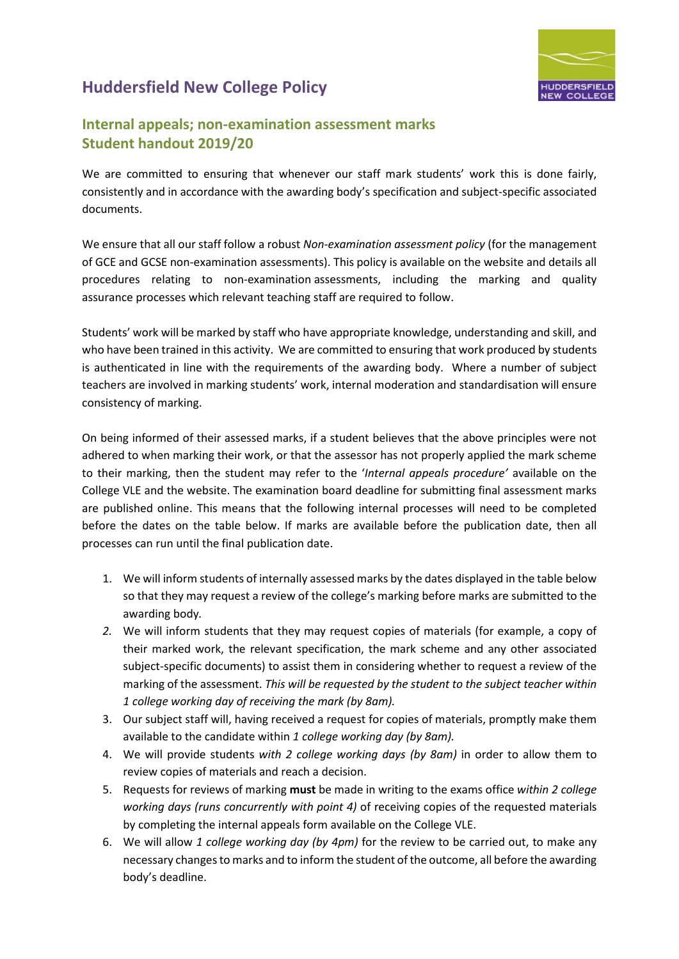

### **Internal appeals; non-examination assessment marks Student handout 2019/20**

We are committed to ensuring that whenever our staff mark students' work this is done fairly, consistently and in accordance with the awarding body's specification and subject-specific associated documents.

We ensure that all our staff follow a robust *Non-examination assessment policy* (for the management of GCE and GCSE non-examination assessments). This policy is available on the website and details all procedures relating to non-examination assessments, including the marking and quality assurance processes which relevant teaching staff are required to follow.

Students' work will be marked by staff who have appropriate knowledge, understanding and skill, and who have been trained in this activity. We are committed to ensuring that work produced by students is authenticated in line with the requirements of the awarding body. Where a number of subject teachers are involved in marking students' work, internal moderation and standardisation will ensure consistency of marking.

On being informed of their assessed marks, if a student believes that the above principles were not adhered to when marking their work, or that the assessor has not properly applied the mark scheme to their marking, then the student may refer to the '*Internal appeals procedure'* available on the College VLE and the website. The examination board deadline for submitting final assessment marks are published online. This means that the following internal processes will need to be completed before the dates on the table below. If marks are available before the publication date, then all processes can run until the final publication date.

- 1. We will inform students of internally assessed marks by the dates displayed in the table below so that they may request a review of the college's marking before marks are submitted to the awarding body*.*
- *2.* We will inform students that they may request copies of materials (for example, a copy of their marked work, the relevant specification, the mark scheme and any other associated subject-specific documents) to assist them in considering whether to request a review of the marking of the assessment. *This will be requested by the student to the subject teacher within 1 college working day of receiving the mark (by 8am).*
- 3. Our subject staff will, having received a request for copies of materials, promptly make them available to the candidate within *1 college working day (by 8am).*
- 4. We will provide students *with 2 college working days (by 8am)* in order to allow them to review copies of materials and reach a decision.
- 5. Requests for reviews of marking **must** be made in writing to the exams office *within 2 college working days (runs concurrently with point 4)* of receiving copies of the requested materials by completing the internal appeals form available on the College VLE.
- 6. We will allow *1 college working day (by 4pm)* for the review to be carried out, to make any necessary changes to marks and to inform the student of the outcome, all before the awarding body's deadline.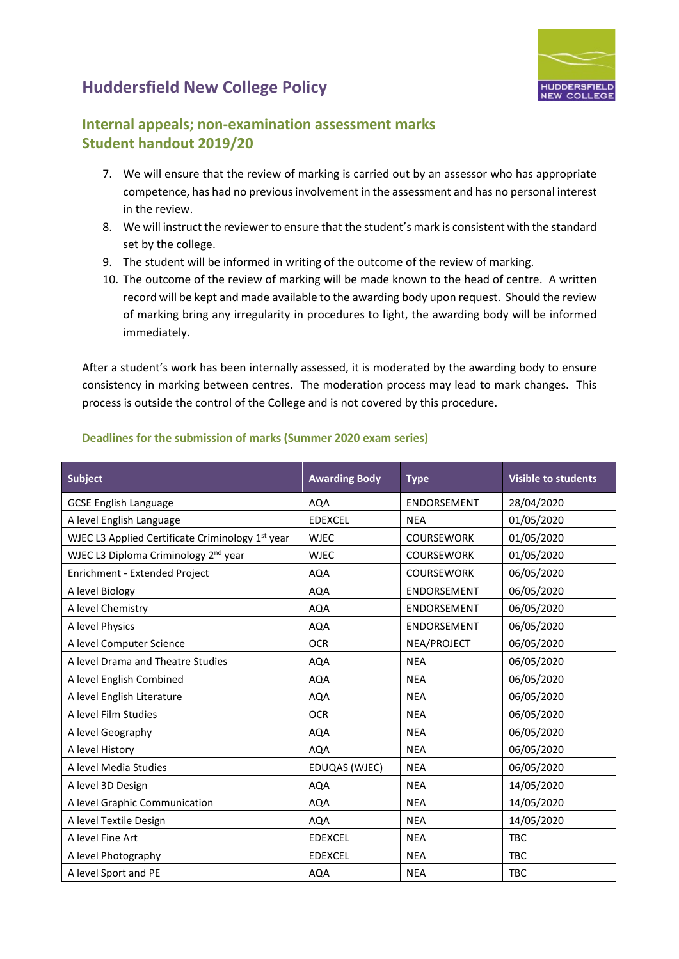

### **Internal appeals; non-examination assessment marks Student handout 2019/20**

- 7. We will ensure that the review of marking is carried out by an assessor who has appropriate competence, has had no previous involvement in the assessment and has no personal interest in the review.
- 8. We will instruct the reviewer to ensure that the student's mark is consistent with the standard set by the college.
- 9. The student will be informed in writing of the outcome of the review of marking.
- 10. The outcome of the review of marking will be made known to the head of centre. A written record will be kept and made available to the awarding body upon request. Should the review of marking bring any irregularity in procedures to light, the awarding body will be informed immediately.

After a student's work has been internally assessed, it is moderated by the awarding body to ensure consistency in marking between centres. The moderation process may lead to mark changes. This process is outside the control of the College and is not covered by this procedure.

| <b>Subject</b>                                   | <b>Awarding Body</b> | <b>Type</b>        | <b>Visible to students</b> |
|--------------------------------------------------|----------------------|--------------------|----------------------------|
| <b>GCSE English Language</b>                     | <b>AQA</b>           | <b>ENDORSEMENT</b> | 28/04/2020                 |
| A level English Language                         | <b>EDEXCEL</b>       | <b>NEA</b>         | 01/05/2020                 |
| WJEC L3 Applied Certificate Criminology 1st year | <b>WJEC</b>          | <b>COURSEWORK</b>  | 01/05/2020                 |
| WJEC L3 Diploma Criminology 2 <sup>nd</sup> year | <b>WJEC</b>          | <b>COURSEWORK</b>  | 01/05/2020                 |
| Enrichment - Extended Project                    | <b>AQA</b>           | <b>COURSEWORK</b>  | 06/05/2020                 |
| A level Biology                                  | <b>AQA</b>           | <b>ENDORSEMENT</b> | 06/05/2020                 |
| A level Chemistry                                | <b>AQA</b>           | <b>ENDORSEMENT</b> | 06/05/2020                 |
| A level Physics                                  | <b>AQA</b>           | <b>ENDORSEMENT</b> | 06/05/2020                 |
| A level Computer Science                         | <b>OCR</b>           | NEA/PROJECT        | 06/05/2020                 |
| A level Drama and Theatre Studies                | <b>AQA</b>           | <b>NEA</b>         | 06/05/2020                 |
| A level English Combined                         | <b>AQA</b>           | <b>NEA</b>         | 06/05/2020                 |
| A level English Literature                       | <b>AQA</b>           | <b>NEA</b>         | 06/05/2020                 |
| A level Film Studies                             | <b>OCR</b>           | <b>NEA</b>         | 06/05/2020                 |
| A level Geography                                | <b>AQA</b>           | <b>NEA</b>         | 06/05/2020                 |
| A level History                                  | AQA                  | <b>NEA</b>         | 06/05/2020                 |
| A level Media Studies                            | EDUQAS (WJEC)        | <b>NEA</b>         | 06/05/2020                 |
| A level 3D Design                                | <b>AQA</b>           | <b>NEA</b>         | 14/05/2020                 |
| A level Graphic Communication                    | AQA                  | <b>NEA</b>         | 14/05/2020                 |
| A level Textile Design                           | <b>AQA</b>           | <b>NEA</b>         | 14/05/2020                 |
| A level Fine Art                                 | <b>EDEXCEL</b>       | <b>NEA</b>         | <b>TBC</b>                 |
| A level Photography                              | <b>EDEXCEL</b>       | <b>NEA</b>         | <b>TBC</b>                 |
| A level Sport and PE                             | <b>AQA</b>           | <b>NEA</b>         | <b>TBC</b>                 |

#### **Deadlines for the submission of marks (Summer 2020 exam series)**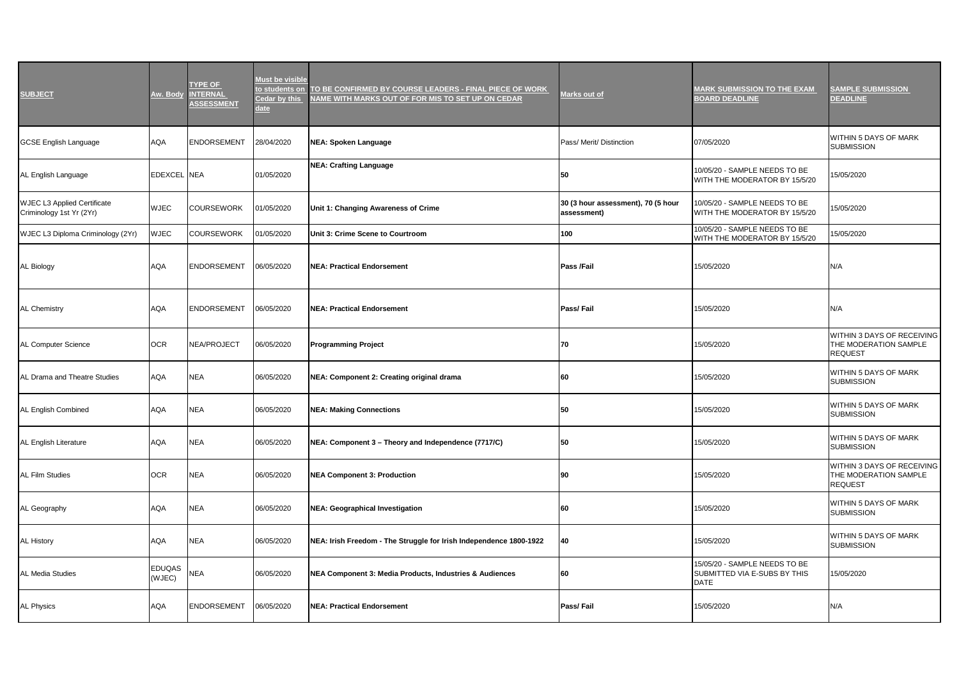| <b>SUBJECT</b>                                                 | Aw. Body                | <b>TYPE OF</b><br><b>INTERNAL</b><br><b>ASSESSMENT</b> | Must be visible<br>o students on<br>edar by this<br>late | TO BE CONFIRMED BY COURSE LEADERS - FINAL PIECE OF WORK<br>NAME WITH MARKS OUT OF FOR MIS TO SET UP ON CEDAR | <u>Marks out of</u>                               | <b>MARK SUBMISSION TO THE EXAM</b><br><b>BOARD DEADLINE</b>                  | <b>SAMPLE SUBMISSION</b><br><b>DEADLINE</b>                           |
|----------------------------------------------------------------|-------------------------|--------------------------------------------------------|----------------------------------------------------------|--------------------------------------------------------------------------------------------------------------|---------------------------------------------------|------------------------------------------------------------------------------|-----------------------------------------------------------------------|
| <b>GCSE English Language</b>                                   | AQA                     | <b>ENDORSEMENT</b>                                     | 28/04/2020                                               | <b>NEA: Spoken Language</b>                                                                                  | Pass/ Merit/ Distinction                          | 07/05/2020                                                                   | WITHIN 5 DAYS OF MARK<br><b>SUBMISSION</b>                            |
| AL English Language                                            | EDEXCEL NEA             |                                                        | 01/05/2020                                               | <b>NEA: Crafting Language</b>                                                                                | 50                                                | 10/05/20 - SAMPLE NEEDS TO BE<br>WITH THE MODERATOR BY 15/5/20               | 15/05/2020                                                            |
| <b>WJEC L3 Applied Certificate</b><br>Criminology 1st Yr (2Yr) | <b>WJEC</b>             | <b>COURSEWORK</b>                                      | 01/05/2020                                               | Unit 1: Changing Awareness of Crime                                                                          | 30 (3 hour assessment), 70 (5 hour<br>assessment) | 10/05/20 - SAMPLE NEEDS TO BE<br>WITH THE MODERATOR BY 15/5/20               | 15/05/2020                                                            |
| WJEC L3 Diploma Criminology (2Yr)                              | WJEC                    | <b>COURSEWORK</b>                                      | 01/05/2020                                               | Unit 3: Crime Scene to Courtroom                                                                             | 100                                               | 10/05/20 - SAMPLE NEEDS TO BE<br>WITH THE MODERATOR BY 15/5/20               | 15/05/2020                                                            |
| AL Biology                                                     | AQA                     | <b>ENDORSEMENT</b>                                     | 06/05/2020                                               | <b>NEA: Practical Endorsement</b>                                                                            | Pass /Fail                                        | 15/05/2020                                                                   | N/A                                                                   |
| <b>AL Chemistry</b>                                            | AQA                     | <b>ENDORSEMENT</b>                                     | 06/05/2020                                               | <b>NEA: Practical Endorsement</b>                                                                            | Pass/Fail                                         | 15/05/2020                                                                   | N/A                                                                   |
| AL Computer Science                                            | <b>OCR</b>              | NEA/PROJECT                                            | 06/05/2020                                               | <b>Programming Project</b>                                                                                   | 70                                                | 15/05/2020                                                                   | WITHIN 3 DAYS OF RECEIVING<br>THE MODERATION SAMPLE<br><b>REQUEST</b> |
| AL Drama and Theatre Studies                                   | AQA                     | <b>NEA</b>                                             | 06/05/2020                                               | NEA: Component 2: Creating original drama                                                                    | 60                                                | 15/05/2020                                                                   | WITHIN 5 DAYS OF MARK<br><b>SUBMISSION</b>                            |
| AL English Combined                                            | AQA                     | <b>NEA</b>                                             | 06/05/2020                                               | <b>NEA: Making Connections</b>                                                                               | 50                                                | 15/05/2020                                                                   | WITHIN 5 DAYS OF MARK<br><b>SUBMISSION</b>                            |
| AL English Literature                                          | AQA                     | <b>NEA</b>                                             | 06/05/2020                                               | NEA: Component 3 - Theory and Independence (7717/C)                                                          | 50                                                | 15/05/2020                                                                   | WITHIN 5 DAYS OF MARK<br><b>SUBMISSION</b>                            |
| <b>AL Film Studies</b>                                         | <b>OCR</b>              | <b>NEA</b>                                             | 06/05/2020                                               | <b>NEA Component 3: Production</b>                                                                           | 90                                                | 15/05/2020                                                                   | WITHIN 3 DAYS OF RECEIVING<br>THE MODERATION SAMPLE<br><b>REQUEST</b> |
| AL Geography                                                   | AQA                     | <b>NEA</b>                                             | 06/05/2020                                               | <b>NEA: Geographical Investigation</b>                                                                       | 60                                                | 15/05/2020                                                                   | WITHIN 5 DAYS OF MARK<br><b>SUBMISSION</b>                            |
| <b>AL History</b>                                              | AQA                     | <b>NEA</b>                                             | 06/05/2020                                               | NEA: Irish Freedom - The Struggle for Irish Independence 1800-1922                                           | 40                                                | 15/05/2020                                                                   | WITHIN 5 DAYS OF MARK<br><b>SUBMISSION</b>                            |
| <b>AL Media Studies</b>                                        | <b>EDUQAS</b><br>(WJEC) | <b>NEA</b>                                             | 06/05/2020                                               | NEA Component 3: Media Products, Industries & Audiences                                                      | 60                                                | 15/05/20 - SAMPLE NEEDS TO BE<br>SUBMITTED VIA E-SUBS BY THIS<br><b>DATE</b> | 15/05/2020                                                            |
| <b>AL Physics</b>                                              | <b>AQA</b>              | <b>ENDORSEMENT</b>                                     | 06/05/2020                                               | <b>NEA: Practical Endorsement</b>                                                                            | Pass/Fail                                         | 15/05/2020                                                                   | N/A                                                                   |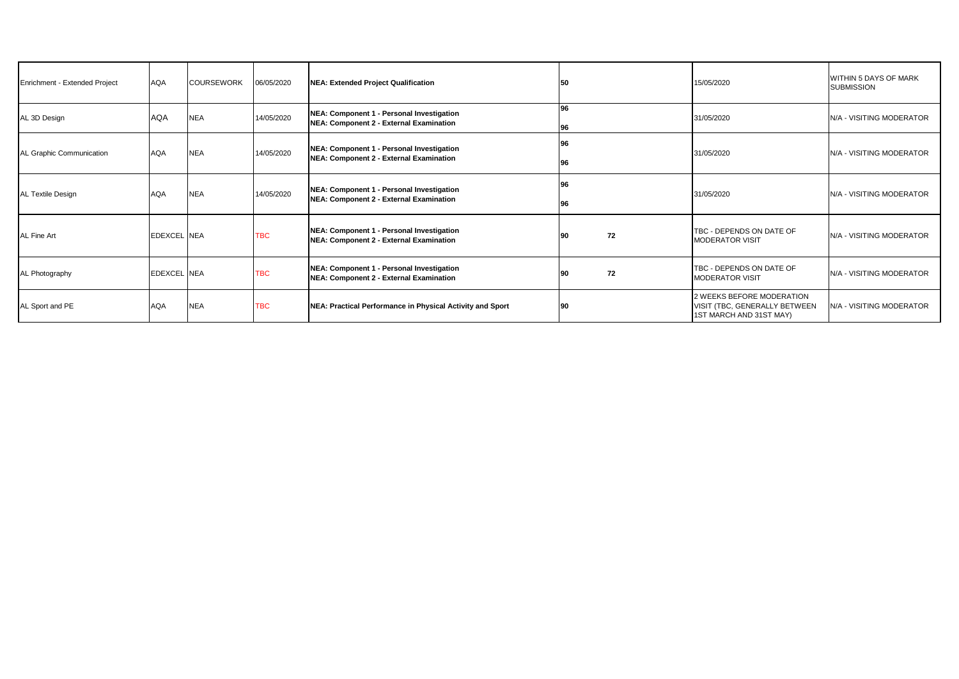| Enrichment - Extended Project | <b>AQA</b>         | <b>COURSEWORK</b> | 06/05/2020 | NEA: Extended Project Qualification                                                  | 50       |    | 15/05/2020                                                                            | WITHIN 5 DAYS OF MARK<br><b>SUBMISSION</b> |
|-------------------------------|--------------------|-------------------|------------|--------------------------------------------------------------------------------------|----------|----|---------------------------------------------------------------------------------------|--------------------------------------------|
| AL 3D Design                  | <b>AQA</b>         | <b>NEA</b>        | 14/05/2020 | NEA: Component 1 - Personal Investigation<br>NEA: Component 2 - External Examination | 96<br>96 |    | 31/05/2020                                                                            | N/A - VISITING MODERATOR                   |
| AL Graphic Communication      | <b>AQA</b>         | <b>NEA</b>        | 14/05/2020 | NEA: Component 1 - Personal Investigation<br>NEA: Component 2 - External Examination | 96<br>96 |    | 31/05/2020                                                                            | N/A - VISITING MODERATOR                   |
| <b>AL Textile Design</b>      | <b>AQA</b>         | <b>NEA</b>        | 14/05/2020 | NEA: Component 1 - Personal Investigation<br>NEA: Component 2 - External Examination | 96<br>96 |    | 31/05/2020                                                                            | N/A - VISITING MODERATOR                   |
| AL Fine Art                   | <b>EDEXCEL NEA</b> |                   | <b>TBC</b> | NEA: Component 1 - Personal Investigation<br>NEA: Component 2 - External Examination | 90       | 72 | TBC - DEPENDS ON DATE OF<br><b>MODERATOR VISIT</b>                                    | <b>N/A - VISITING MODERATOR</b>            |
| AL Photography                | <b>EDEXCEL NEA</b> |                   | TBC        | NEA: Component 1 - Personal Investigation<br>NEA: Component 2 - External Examination | 90       | 72 | TBC - DEPENDS ON DATE OF<br><b>MODERATOR VISIT</b>                                    | N/A - VISITING MODERATOR                   |
| AL Sport and PE               | <b>AQA</b>         | <b>NEA</b>        | <b>TBC</b> | NEA: Practical Performance in Physical Activity and Sport                            | 90       |    | 2 WEEKS BEFORE MODERATION<br>VISIT (TBC, GENERALLY BETWEEN<br>1ST MARCH AND 31ST MAY) | N/A - VISITING MODERATOR                   |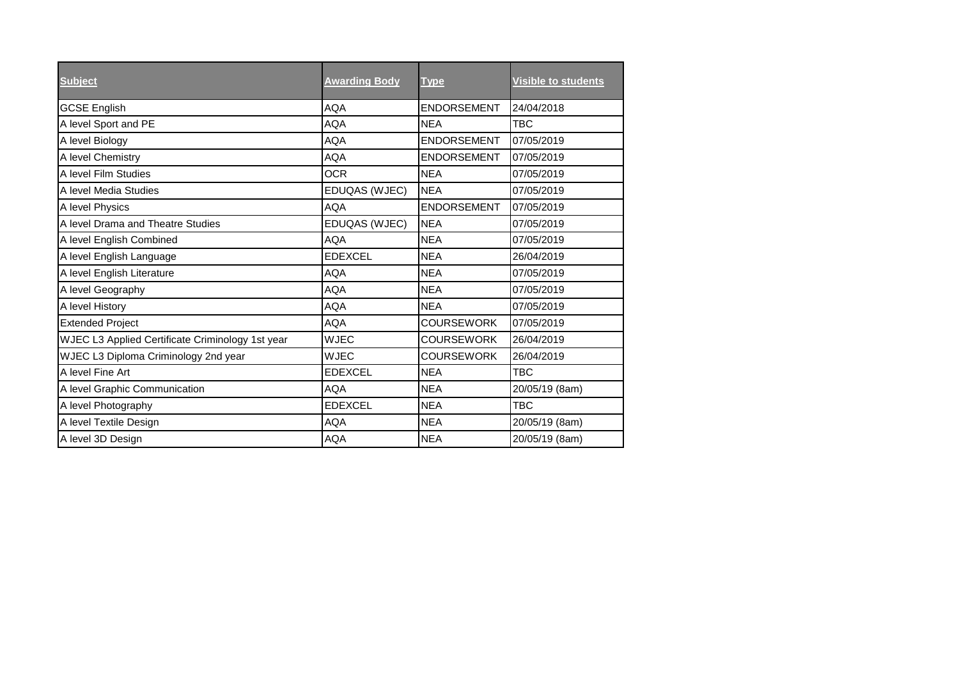| <b>Subject</b>                                   | <b>Awarding Body</b> | <b>Type</b>        | <b>Visible to students</b> |
|--------------------------------------------------|----------------------|--------------------|----------------------------|
| <b>GCSE English</b>                              | AQA                  | <b>ENDORSEMENT</b> | 24/04/2018                 |
| A level Sport and PE                             | <b>AQA</b>           | <b>NEA</b>         | <b>TBC</b>                 |
| A level Biology                                  | <b>AQA</b>           | <b>ENDORSEMENT</b> | 07/05/2019                 |
| A level Chemistry                                | AQA                  | <b>ENDORSEMENT</b> | 07/05/2019                 |
| A level Film Studies                             | <b>OCR</b>           | <b>NEA</b>         | 07/05/2019                 |
| A level Media Studies                            | EDUQAS (WJEC)        | <b>NEA</b>         | 07/05/2019                 |
| A level Physics                                  | <b>AQA</b>           | ENDORSEMENT        | 07/05/2019                 |
| A level Drama and Theatre Studies                | EDUQAS (WJEC)        | <b>NEA</b>         | 07/05/2019                 |
| A level English Combined                         | <b>AQA</b>           | <b>NEA</b>         | 07/05/2019                 |
| A level English Language                         | <b>EDEXCEL</b>       | <b>NEA</b>         | 26/04/2019                 |
| A level English Literature                       | <b>AQA</b>           | <b>NEA</b>         | 07/05/2019                 |
| A level Geography                                | AQA                  | <b>NEA</b>         | 07/05/2019                 |
| A level History                                  | <b>AQA</b>           | <b>NEA</b>         | 07/05/2019                 |
| <b>Extended Project</b>                          | <b>AQA</b>           | <b>COURSEWORK</b>  | 07/05/2019                 |
| WJEC L3 Applied Certificate Criminology 1st year | <b>WJEC</b>          | <b>COURSEWORK</b>  | 26/04/2019                 |
| WJEC L3 Diploma Criminology 2nd year             | <b>WJEC</b>          | <b>COURSEWORK</b>  | 26/04/2019                 |
| A level Fine Art                                 | <b>EDEXCEL</b>       | <b>NEA</b>         | <b>TBC</b>                 |
| A level Graphic Communication                    | <b>AQA</b>           | <b>NEA</b>         | 20/05/19 (8am)             |
| A level Photography                              | <b>EDEXCEL</b>       | <b>NEA</b>         | TBC                        |
| A level Textile Design                           | <b>AQA</b>           | <b>NEA</b>         | 20/05/19 (8am)             |
| A level 3D Design                                | <b>AQA</b>           | <b>NEA</b>         | 20/05/19 (8am)             |